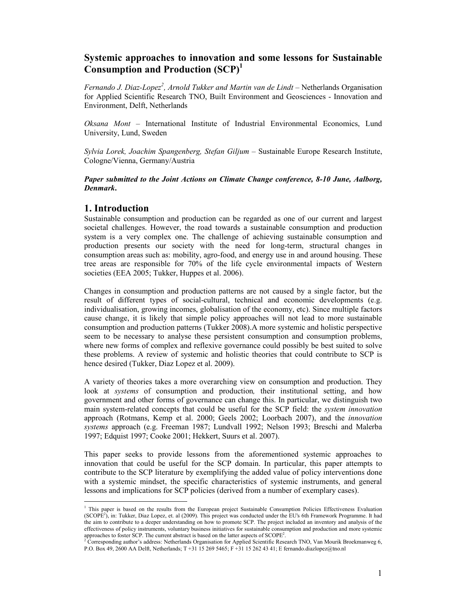# **Systemic approaches to innovation and some lessons for Sustainable Consumption and Production (SCP)<sup>1</sup>**

*Fernando J. Diaz-Lopez<sup>2</sup> , Arnold Tukker and Martin van de Lindt –* Netherlands Organisation for Applied Scientific Research TNO, Built Environment and Geosciences - Innovation and Environment, Delft, Netherlands

*Oksana Mont –* International Institute of Industrial Environmental Economics, Lund University, Lund, Sweden

*Sylvia Lorek, Joachim Spangenberg, Stefan Giljum –* Sustainable Europe Research Institute, Cologne/Vienna, Germany/Austria

## *Paper submitted to the Joint Actions on Climate Change conference, 8-10 June, Aalborg, Denmark***.**

# **1. Introduction**

Sustainable consumption and production can be regarded as one of our current and largest societal challenges. However, the road towards a sustainable consumption and production system is a very complex one. The challenge of achieving sustainable consumption and production presents our society with the need for long-term, structural changes in consumption areas such as: mobility, agro-food, and energy use in and around housing. These tree areas are responsible for 70% of the life cycle environmental impacts of Western societies (EEA 2005; Tukker, Huppes et al. 2006).

Changes in consumption and production patterns are not caused by a single factor, but the result of different types of social-cultural, technical and economic developments (e.g. individualisation, growing incomes, globalisation of the economy, etc). Since multiple factors cause change, it is likely that simple policy approaches will not lead to more sustainable consumption and production patterns (Tukker 2008).A more systemic and holistic perspective seem to be necessary to analyse these persistent consumption and consumption problems, where new forms of complex and reflexive governance could possibly be best suited to solve these problems. A review of systemic and holistic theories that could contribute to SCP is hence desired (Tukker, Diaz Lopez et al. 2009).

A variety of theories takes a more overarching view on consumption and production. They look at *systems* of consumption and production*,* their institutional setting, and how government and other forms of governance can change this. In particular, we distinguish two main system-related concepts that could be useful for the SCP field: the *system innovation*  approach (Rotmans, Kemp et al. 2000; Geels 2002; Loorbach 2007), and the *innovation systems* approach (e.g. Freeman 1987; Lundvall 1992; Nelson 1993; Breschi and Malerba 1997; Edquist 1997; Cooke 2001; Hekkert, Suurs et al. 2007).

This paper seeks to provide lessons from the aforementioned systemic approaches to innovation that could be useful for the SCP domain. In particular, this paper attempts to contribute to the SCP literature by exemplifying the added value of policy interventions done with a systemic mindset, the specific characteristics of systemic instruments, and general lessons and implications for SCP policies (derived from a number of exemplary cases).

 1 This paper is based on the results from the European project Sustainable Consumption Policies Effectiveness Evaluation (SCOPE<sup>2</sup> ), in: Tukker, Diaz Lopez, et. al (2009). This project was conducted under the EU's 6th Framework Programme. It had the aim to contribute to a deeper understanding on how to promote SCP. The project included an inventory and analysis of the effectiveness of policy instruments, voluntary business initiatives for sustainable consumption and production and more systemic

approaches to foster SCP. The current abstract is based on the latter aspects of SCOPE<sup>2</sup>.<br><sup>2</sup> Corresponding author's address: Netherlands Organisation for Applied Scientific Research TNO, Van Mourik Broekmanweg 6, P.O. Box 49, 2600 AA Delft, Netherlands; T +31 15 269 5465; F +31 15 262 43 41; E fernando.diazlopez@tno.nl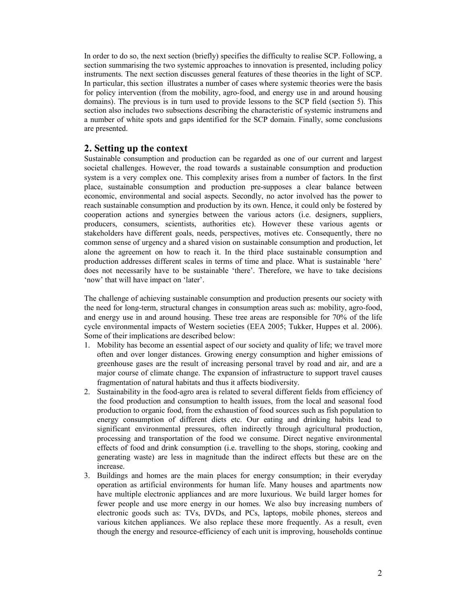In order to do so, the next section (briefly) specifies the difficulty to realise SCP. Following, a section summarising the two systemic approaches to innovation is presented, including policy instruments. The next section discusses general features of these theories in the light of SCP. In particular, this section illustrates a number of cases where systemic theories were the basis for policy intervention (from the mobility, agro-food, and energy use in and around housing domains). The previous is in turn used to provide lessons to the SCP field (section 5). This section also includes two subsections describing the characteristic of systemic instrumens and a number of white spots and gaps identified for the SCP domain. Finally, some conclusions are presented.

# **2. Setting up the context**

Sustainable consumption and production can be regarded as one of our current and largest societal challenges. However, the road towards a sustainable consumption and production system is a very complex one. This complexity arises from a number of factors. In the first place, sustainable consumption and production pre-supposes a clear balance between economic, environmental and social aspects. Secondly, no actor involved has the power to reach sustainable consumption and production by its own. Hence, it could only be fostered by cooperation actions and synergies between the various actors (i.e. designers, suppliers, producers, consumers, scientists, authorities etc). However these various agents or stakeholders have different goals, needs, perspectives, motives etc. Consequently, there no common sense of urgency and a shared vision on sustainable consumption and production, let alone the agreement on how to reach it. In the third place sustainable consumption and production addresses different scales in terms of time and place. What is sustainable 'here' does not necessarily have to be sustainable 'there'. Therefore, we have to take decisions 'now' that will have impact on 'later'.

The challenge of achieving sustainable consumption and production presents our society with the need for long-term, structural changes in consumption areas such as: mobility, agro-food, and energy use in and around housing. These tree areas are responsible for 70% of the life cycle environmental impacts of Western societies (EEA 2005; Tukker, Huppes et al. 2006). Some of their implications are described below:

- 1. Mobility has become an essential aspect of our society and quality of life; we travel more often and over longer distances. Growing energy consumption and higher emissions of greenhouse gases are the result of increasing personal travel by road and air, and are a major course of climate change. The expansion of infrastructure to support travel causes fragmentation of natural habitats and thus it affects biodiversity.
- 2. Sustainability in the food-agro area is related to several different fields from efficiency of the food production and consumption to health issues, from the local and seasonal food production to organic food, from the exhaustion of food sources such as fish population to energy consumption of different diets etc. Our eating and drinking habits lead to significant environmental pressures, often indirectly through agricultural production, processing and transportation of the food we consume. Direct negative environmental effects of food and drink consumption (i.e. travelling to the shops, storing, cooking and generating waste) are less in magnitude than the indirect effects but these are on the increase.
- 3. Buildings and homes are the main places for energy consumption; in their everyday operation as artificial environments for human life. Many houses and apartments now have multiple electronic appliances and are more luxurious. We build larger homes for fewer people and use more energy in our homes. We also buy increasing numbers of electronic goods such as: TVs, DVDs, and PCs, laptops, mobile phones, stereos and various kitchen appliances. We also replace these more frequently. As a result, even though the energy and resource-efficiency of each unit is improving, households continue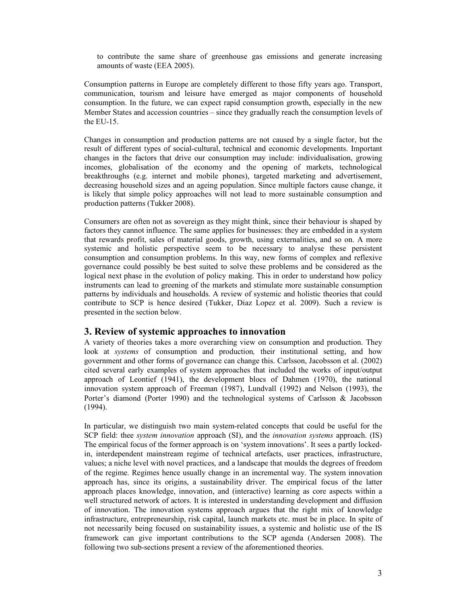to contribute the same share of greenhouse gas emissions and generate increasing amounts of waste (EEA 2005).

Consumption patterns in Europe are completely different to those fifty years ago. Transport, communication, tourism and leisure have emerged as major components of household consumption. In the future, we can expect rapid consumption growth, especially in the new Member States and accession countries – since they gradually reach the consumption levels of the EU-15.

Changes in consumption and production patterns are not caused by a single factor, but the result of different types of social-cultural, technical and economic developments. Important changes in the factors that drive our consumption may include: individualisation, growing incomes, globalisation of the economy and the opening of markets, technological breakthroughs (e.g. internet and mobile phones), targeted marketing and advertisement, decreasing household sizes and an ageing population. Since multiple factors cause change, it is likely that simple policy approaches will not lead to more sustainable consumption and production patterns (Tukker 2008).

Consumers are often not as sovereign as they might think, since their behaviour is shaped by factors they cannot influence. The same applies for businesses: they are embedded in a system that rewards profit, sales of material goods, growth, using externalities, and so on. A more systemic and holistic perspective seem to be necessary to analyse these persistent consumption and consumption problems. In this way, new forms of complex and reflexive governance could possibly be best suited to solve these problems and be considered as the logical next phase in the evolution of policy making. This in order to understand how policy instruments can lead to greening of the markets and stimulate more sustainable consumption patterns by individuals and households. A review of systemic and holistic theories that could contribute to SCP is hence desired (Tukker, Diaz Lopez et al. 2009). Such a review is presented in the section below.

## **3. Review of systemic approaches to innovation**

A variety of theories takes a more overarching view on consumption and production. They look at *systems* of consumption and production*,* their institutional setting, and how government and other forms of governance can change this. Carlsson, Jacobsson et al. (2002) cited several early examples of system approaches that included the works of input/output approach of Leontief (1941), the development blocs of Dahmen (1970), the national innovation system approach of Freeman (1987), Lundvall (1992) and Nelson (1993), the Porter's diamond (Porter 1990) and the technological systems of Carlsson & Jacobsson (1994).

In particular, we distinguish two main system-related concepts that could be useful for the SCP field: thee *system innovation* approach (SI), and the *innovation systems* approach. (IS) The empirical focus of the former approach is on 'system innovations'. It sees a partly lockedin, interdependent mainstream regime of technical artefacts, user practices, infrastructure, values; a niche level with novel practices, and a landscape that moulds the degrees of freedom of the regime. Regimes hence usually change in an incremental way. The system innovation approach has, since its origins, a sustainability driver. The empirical focus of the latter approach places knowledge, innovation, and (interactive) learning as core aspects within a well structured network of actors. It is interested in understanding development and diffusion of innovation. The innovation systems approach argues that the right mix of knowledge infrastructure, entrepreneurship, risk capital, launch markets etc. must be in place. In spite of not necessarily being focused on sustainability issues, a systemic and holistic use of the IS framework can give important contributions to the SCP agenda (Andersen 2008). The following two sub-sections present a review of the aforementioned theories.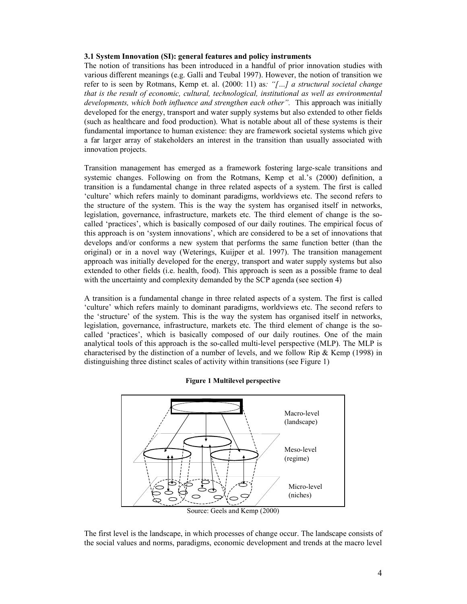## **3.1 System Innovation (SI): general features and policy instruments**

The notion of transitions has been introduced in a handful of prior innovation studies with various different meanings (e.g. Galli and Teubal 1997). However, the notion of transition we refer to is seen by Rotmans, Kemp et. al. (2000: 11) as*: "[…] a structural societal change that is the result of economic, cultural, technological, institutional as well as environmental*  developments, which both influence and strengthen each other". This approach was initially developed for the energy, transport and water supply systems but also extended to other fields (such as healthcare and food production). What is notable about all of these systems is their fundamental importance to human existence: they are framework societal systems which give a far larger array of stakeholders an interest in the transition than usually associated with innovation projects.

Transition management has emerged as a framework fostering large-scale transitions and systemic changes. Following on from the Rotmans, Kemp et al.'s (2000) definition, a transition is a fundamental change in three related aspects of a system. The first is called 'culture' which refers mainly to dominant paradigms, worldviews etc. The second refers to the structure of the system. This is the way the system has organised itself in networks, legislation, governance, infrastructure, markets etc. The third element of change is the socalled 'practices', which is basically composed of our daily routines. The empirical focus of this approach is on 'system innovations', which are considered to be a set of innovations that develops and/or conforms a new system that performs the same function better (than the original) or in a novel way (Weterings, Kuijper et al. 1997). The transition management approach was initially developed for the energy, transport and water supply systems but also extended to other fields (i.e. health, food). This approach is seen as a possible frame to deal with the uncertainty and complexity demanded by the SCP agenda (see section 4)

A transition is a fundamental change in three related aspects of a system. The first is called 'culture' which refers mainly to dominant paradigms, worldviews etc. The second refers to the 'structure' of the system. This is the way the system has organised itself in networks, legislation, governance, infrastructure, markets etc. The third element of change is the socalled 'practices', which is basically composed of our daily routines. One of the main analytical tools of this approach is the so-called multi-level perspective (MLP). The MLP is characterised by the distinction of a number of levels, and we follow Rip & Kemp (1998) in distinguishing three distinct scales of activity within transitions (see Figure 1)



#### **Figure 1 Multilevel perspective**

The first level is the landscape, in which processes of change occur. The landscape consists of the social values and norms, paradigms, economic development and trends at the macro level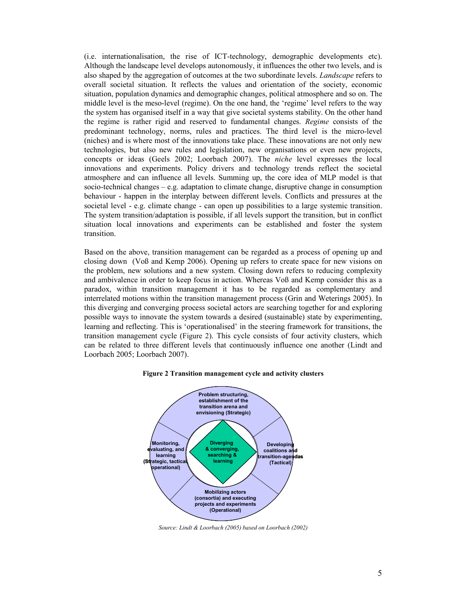(i.e. internationalisation, the rise of ICT-technology, demographic developments etc). Although the landscape level develops autonomously, it influences the other two levels, and is also shaped by the aggregation of outcomes at the two subordinate levels. *Landscape* refers to overall societal situation. It reflects the values and orientation of the society, economic situation, population dynamics and demographic changes, political atmosphere and so on. The middle level is the meso-level (regime). On the one hand, the 'regime' level refers to the way the system has organised itself in a way that give societal systems stability. On the other hand the regime is rather rigid and reserved to fundamental changes. *Regime* consists of the predominant technology, norms, rules and practices. The third level is the micro-level (niches) and is where most of the innovations take place. These innovations are not only new technologies, but also new rules and legislation, new organisations or even new projects, concepts or ideas (Geels 2002; Loorbach 2007). The *niche* level expresses the local innovations and experiments. Policy drivers and technology trends reflect the societal atmosphere and can influence all levels. Summing up, the core idea of MLP model is that socio-technical changes – e.g. adaptation to climate change, disruptive change in consumption behaviour - happen in the interplay between different levels. Conflicts and pressures at the societal level - e.g. climate change - can open up possibilities to a large systemic transition. The system transition/adaptation is possible, if all levels support the transition, but in conflict situation local innovations and experiments can be established and foster the system transition.

Based on the above, transition management can be regarded as a process of opening up and closing down (Voß and Kemp 2006). Opening up refers to create space for new visions on the problem, new solutions and a new system. Closing down refers to reducing complexity and ambivalence in order to keep focus in action. Whereas Voß and Kemp consider this as a paradox, within transition management it has to be regarded as complementary and interrelated motions within the transition management process (Grin and Weterings 2005). In this diverging and converging process societal actors are searching together for and exploring possible ways to innovate the system towards a desired (sustainable) state by experimenting, learning and reflecting. This is 'operationalised' in the steering framework for transitions, the transition management cycle (Figure 2). This cycle consists of four activity clusters, which can be related to three different levels that continuously influence one another (Lindt and Loorbach 2005; Loorbach 2007).



**Figure 2 Transition management cycle and activity clusters** 

*Source: Lindt & Loorbach (2005) based on Loorbach (2002)*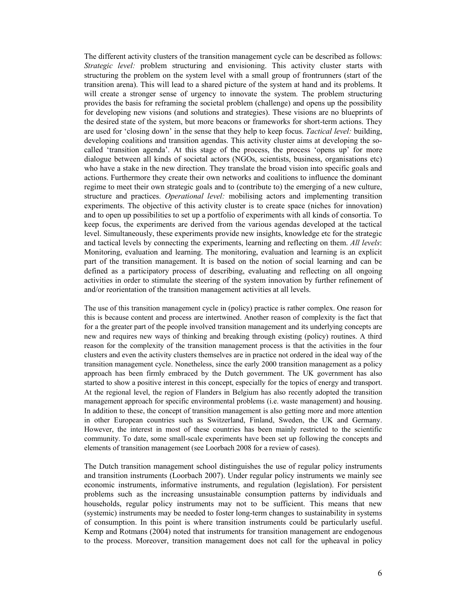The different activity clusters of the transition management cycle can be described as follows: *Strategic level:* problem structuring and envisioning. This activity cluster starts with structuring the problem on the system level with a small group of frontrunners (start of the transition arena). This will lead to a shared picture of the system at hand and its problems. It will create a stronger sense of urgency to innovate the system. The problem structuring provides the basis for reframing the societal problem (challenge) and opens up the possibility for developing new visions (and solutions and strategies). These visions are no blueprints of the desired state of the system, but more beacons or frameworks for short-term actions. They are used for 'closing down' in the sense that they help to keep focus. *Tactical level:* building, developing coalitions and transition agendas. This activity cluster aims at developing the socalled 'transition agenda'. At this stage of the process, the process 'opens up' for more dialogue between all kinds of societal actors (NGOs, scientists, business, organisations etc) who have a stake in the new direction. They translate the broad vision into specific goals and actions. Furthermore they create their own networks and coalitions to influence the dominant regime to meet their own strategic goals and to (contribute to) the emerging of a new culture, structure and practices. *Operational level:* mobilising actors and implementing transition experiments. The objective of this activity cluster is to create space (niches for innovation) and to open up possibilities to set up a portfolio of experiments with all kinds of consortia. To keep focus, the experiments are derived from the various agendas developed at the tactical level. Simultaneously, these experiments provide new insights, knowledge etc for the strategic and tactical levels by connecting the experiments, learning and reflecting on them. *All levels*: Monitoring, evaluation and learning. The monitoring, evaluation and learning is an explicit part of the transition management. It is based on the notion of social learning and can be defined as a participatory process of describing, evaluating and reflecting on all ongoing activities in order to stimulate the steering of the system innovation by further refinement of and/or reorientation of the transition management activities at all levels.

The use of this transition management cycle in (policy) practice is rather complex. One reason for this is because content and process are intertwined. Another reason of complexity is the fact that for a the greater part of the people involved transition management and its underlying concepts are new and requires new ways of thinking and breaking through existing (policy) routines. A third reason for the complexity of the transition management process is that the activities in the four clusters and even the activity clusters themselves are in practice not ordered in the ideal way of the transition management cycle. Nonetheless, since the early 2000 transition management as a policy approach has been firmly embraced by the Dutch government. The UK government has also started to show a positive interest in this concept, especially for the topics of energy and transport. At the regional level, the region of Flanders in Belgium has also recently adopted the transition management approach for specific environmental problems (i.e. waste management) and housing. In addition to these, the concept of transition management is also getting more and more attention in other European countries such as Switzerland, Finland, Sweden, the UK and Germany. However, the interest in most of these countries has been mainly restricted to the scientific community. To date, some small-scale experiments have been set up following the concepts and elements of transition management (see Loorbach 2008 for a review of cases).

The Dutch transition management school distinguishes the use of regular policy instruments and transition instruments (Loorbach 2007). Under regular policy instruments we mainly see economic instruments, informative instruments, and regulation (legislation). For persistent problems such as the increasing unsustainable consumption patterns by individuals and households, regular policy instruments may not to be sufficient. This means that new (systemic) instruments may be needed to foster long-term changes to sustainability in systems of consumption. In this point is where transition instruments could be particularly useful. Kemp and Rotmans (2004) noted that instruments for transition management are endogenous to the process. Moreover, transition management does not call for the upheaval in policy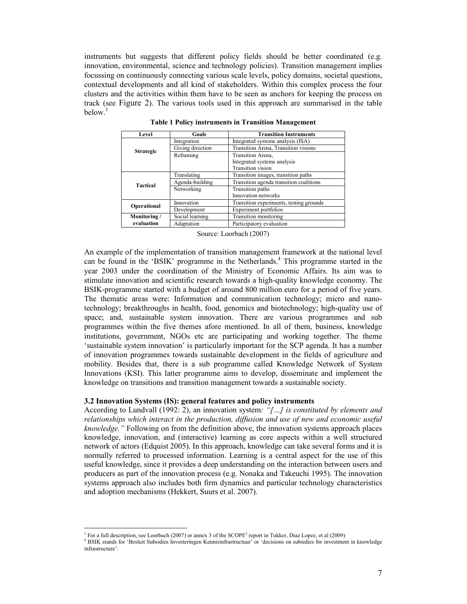instruments but suggests that different policy fields should be better coordinated (e.g. innovation, environmental, science and technology policies). Transition management implies focussing on continuously connecting various scale levels, policy domains, societal questions, contextual developments and all kind of stakeholders. Within this complex process the four clusters and the activities within them have to be seen as anchors for keeping the process on track (see Figure 2). The various tools used in this approach are summarised in the table below.<sup>3</sup>

| Level            | Goals            | <b>Transition Instruments</b>           |  |
|------------------|------------------|-----------------------------------------|--|
|                  | Integration      | Integrated systems analysis (ISA)       |  |
| <b>Strategic</b> | Giving direction | Transition Arena, Transition visions    |  |
|                  | Reframing        | Transition Arena,                       |  |
|                  |                  | Integrated systems analysis             |  |
|                  |                  | Transition vision                       |  |
|                  | Translating      | Transition images, transition paths     |  |
| <b>Tactical</b>  | Agenda-building  | Transition agenda transition coalitions |  |
|                  | Networking       | Transition paths                        |  |
|                  |                  | Innovation networks                     |  |
| Operational      | Innovation       | Transition experiments, testing grounds |  |
|                  | Development      | Experiment portfolios                   |  |
| Monitoring /     | Social learning  | Transition monitoring                   |  |
| evaluation       | Adaptation       | Participatory evaluation                |  |

**Table 1 Policy instruments in Transition Management**

Source: Loorbach (2007)

An example of the implementation of transition management framework at the national level can be found in the 'BSIK' programme in the Netherlands.<sup>4</sup> This programme started in the year 2003 under the coordination of the Ministry of Economic Affairs. Its aim was to stimulate innovation and scientific research towards a high-quality knowledge economy. The BSIK-programme started with a budget of around 800 million euro for a period of five years. The thematic areas were: Information and communication technology; micro and nanotechnology; breakthroughs in health, food, genomics and biotechnology; high-quality use of space; and, sustainable system innovation. There are various programmes and sub programmes within the five themes afore mentioned. In all of them, business, knowledge institutions, government, NGOs etc are participating and working together. The theme 'sustainable system innovation' is particularly important for the SCP agenda. It has a number of innovation programmes towards sustainable development in the fields of agriculture and mobility. Besides that, there is a sub programme called Knowledge Network of System Innovations (KSI). This latter programme aims to develop, disseminate and implement the knowledge on transitions and transition management towards a sustainable society.

#### **3.2 Innovation Systems (IS): general features and policy instruments**

According to Lundvall (1992: 2), an innovation system*: "[…] is constituted by elements and relationships which interact in the production, diffusion and use of new and economic useful knowledge."* Following on from the definition above, the innovation systems approach places knowledge, innovation, and (interactive) learning as core aspects within a well structured network of actors (Edquist 2005). In this approach, knowledge can take several forms and it is normally referred to processed information. Learning is a central aspect for the use of this useful knowledge, since it provides a deep understanding on the interaction between users and producers as part of the innovation process (e.g. Nonaka and Takeuchi 1995). The innovation systems approach also includes both firm dynamics and particular technology characteristics and adoption mechanisms (Hekkert, Suurs et al. 2007).

 $\ddot{\phantom{a}}$ 

<sup>&</sup>lt;sup>3</sup> For a full description, see Loorbach (2007) or annex 3 of the SCOPE<sup>2</sup> report in Tukker, Diaz Lopez, et al (2009)

<sup>4</sup> BSIK stands for 'Besluit Subsidies Investeringen Kennisinfrastructuur' or 'decisions on subsidies for investment in knowledge infrastructure'.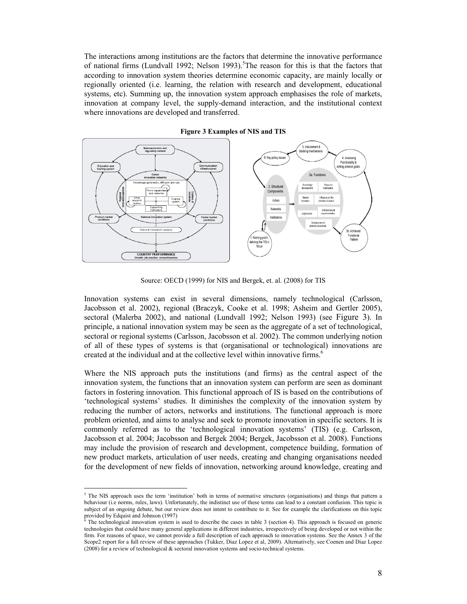The interactions among institutions are the factors that determine the innovative performance of national firms (Lundvall 1992; Nelson 1993).<sup>5</sup>The reason for this is that the factors that according to innovation system theories determine economic capacity, are mainly locally or regionally oriented (i.e. learning, the relation with research and development, educational systems, etc). Summing up, the innovation system approach emphasises the role of markets, innovation at company level, the supply-demand interaction, and the institutional context where innovations are developed and transferred.



#### **Figure 3 Examples of NIS and TIS**

Source: OECD (1999) for NIS and Bergek, et. al. (2008) for TIS

Innovation systems can exist in several dimensions, namely technological (Carlsson, Jacobsson et al. 2002), regional (Braczyk, Cooke et al. 1998; Asheim and Gertler 2005), sectoral (Malerba 2002), and national (Lundvall 1992; Nelson 1993) (see Figure 3). In principle, a national innovation system may be seen as the aggregate of a set of technological, sectoral or regional systems (Carlsson, Jacobsson et al. 2002). The common underlying notion of all of these types of systems is that (organisational or technological) innovations are created at the individual and at the collective level within innovative firms.<sup>6</sup>

Where the NIS approach puts the institutions (and firms) as the central aspect of the innovation system, the functions that an innovation system can perform are seen as dominant factors in fostering innovation. This functional approach of IS is based on the contributions of 'technological systems' studies. It diminishes the complexity of the innovation system by reducing the number of actors, networks and institutions. The functional approach is more problem oriented, and aims to analyse and seek to promote innovation in specific sectors. It is commonly referred as to the 'technological innovation systems' (TIS) (e.g. Carlsson, Jacobsson et al. 2004; Jacobsson and Bergek 2004; Bergek, Jacobsson et al. 2008). Functions may include the provision of research and development, competence building, formation of new product markets, articulation of user needs, creating and changing organisations needed for the development of new fields of innovation, networking around knowledge, creating and

 5 The NIS approach uses the term 'institution' both in terms of normative structures (organisations) and things that pattern a behaviour (i.e norms, rules, laws). Unfortunately, the indistinct use of these terms can lead to a constant confusion. This topic is subject of an ongoing debate, but our review does not intent to contribute to it. See for example the clarifications on this topic provided by Edquist and Johnson (1997)<br><sup>6</sup> The technological innovation gyptom is

The technological innovation system is used to describe the cases in table 3 (section 4). This approach is focused on generic technologies that could have many general applications in different industries, irrespectively of being developed or not within the firm. For reasons of space, we cannot provide a full description of each approach to innovation systems. See the Annex 3 of the Scope2 report for a full review of these approaches (Tukker, Diaz Lopez et al, 2009). Alternatively, see Coenen and Diaz Lopez (2008) for a review of technological & sectoral innovation systems and socio-technical systems.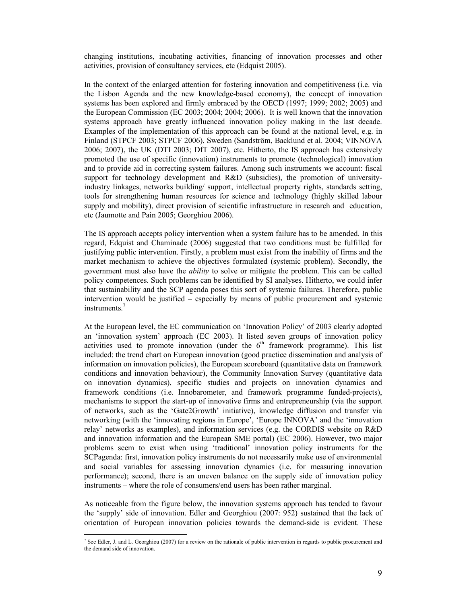changing institutions, incubating activities, financing of innovation processes and other activities, provision of consultancy services, etc (Edquist 2005).

In the context of the enlarged attention for fostering innovation and competitiveness (i.e. via the Lisbon Agenda and the new knowledge-based economy), the concept of innovation systems has been explored and firmly embraced by the OECD (1997; 1999; 2002; 2005) and the European Commission (EC 2003; 2004; 2004; 2006). It is well known that the innovation systems approach have greatly influenced innovation policy making in the last decade. Examples of the implementation of this approach can be found at the national level, e.g. in Finland (STPCF 2003; STPCF 2006), Sweden (Sandström, Backlund et al. 2004; VINNOVA 2006; 2007), the UK (DTI 2003; DfT 2007), etc. Hitherto, the IS approach has extensively promoted the use of specific (innovation) instruments to promote (technological) innovation and to provide aid in correcting system failures. Among such instruments we account: fiscal support for technology development and R&D (subsidies), the promotion of universityindustry linkages, networks building/ support, intellectual property rights, standards setting, tools for strengthening human resources for science and technology (highly skilled labour supply and mobility), direct provision of scientific infrastructure in research and education, etc (Jaumotte and Pain 2005; Georghiou 2006).

The IS approach accepts policy intervention when a system failure has to be amended. In this regard, Edquist and Chaminade (2006) suggested that two conditions must be fulfilled for justifying public intervention. Firstly, a problem must exist from the inability of firms and the market mechanism to achieve the objectives formulated (systemic problem). Secondly, the government must also have the *ability* to solve or mitigate the problem. This can be called policy competences. Such problems can be identified by SI analyses. Hitherto, we could infer that sustainability and the SCP agenda poses this sort of systemic failures. Therefore, public intervention would be justified – especially by means of public procurement and systemic instruments.<sup>7</sup>

At the European level, the EC communication on 'Innovation Policy' of 2003 clearly adopted an 'innovation system' approach (EC 2003). It listed seven groups of innovation policy activities used to promote innovation (under the  $6<sup>th</sup>$  framework programme). This list included: the trend chart on European innovation (good practice dissemination and analysis of information on innovation policies), the European scoreboard (quantitative data on framework conditions and innovation behaviour), the Community Innovation Survey (quantitative data on innovation dynamics), specific studies and projects on innovation dynamics and framework conditions (i.e. Innobarometer, and framework programme funded-projects), mechanisms to support the start-up of innovative firms and entrepreneurship (via the support of networks, such as the 'Gate2Growth' initiative), knowledge diffusion and transfer via networking (with the 'innovating regions in Europe', 'Europe INNOVA' and the 'innovation relay' networks as examples), and information services (e.g. the CORDIS website on R&D and innovation information and the European SME portal) (EC 2006). However, two major problems seem to exist when using 'traditional' innovation policy instruments for the SCPagenda: first, innovation policy instruments do not necessarily make use of environmental and social variables for assessing innovation dynamics (i.e. for measuring innovation performance); second, there is an uneven balance on the supply side of innovation policy instruments – where the role of consumers/end users has been rather marginal.

As noticeable from the figure below, the innovation systems approach has tended to favour the 'supply' side of innovation. Edler and Georghiou (2007: 952) sustained that the lack of orientation of European innovation policies towards the demand-side is evident. These

 7 See Edler, J. and L. Georghiou (2007) for a review on the rationale of public intervention in regards to public procurement and the demand side of innovation.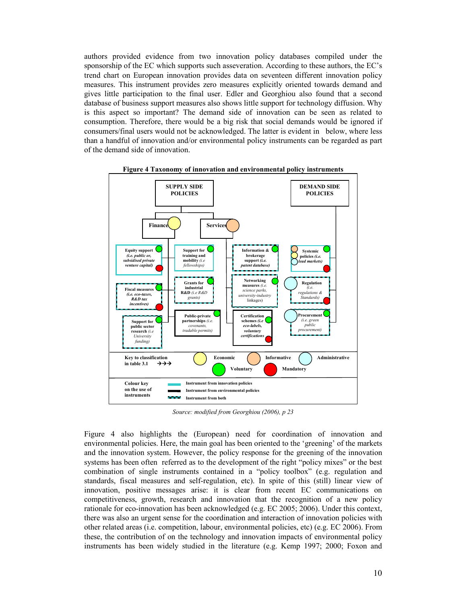authors provided evidence from two innovation policy databases compiled under the sponsorship of the EC which supports such asseveration. According to these authors, the EC's trend chart on European innovation provides data on seventeen different innovation policy measures. This instrument provides zero measures explicitly oriented towards demand and gives little participation to the final user. Edler and Georghiou also found that a second database of business support measures also shows little support for technology diffusion. Why is this aspect so important? The demand side of innovation can be seen as related to consumption. Therefore, there would be a big risk that social demands would be ignored if consumers/final users would not be acknowledged. The latter is evident in below, where less than a handful of innovation and/or environmental policy instruments can be regarded as part of the demand side of innovation.





*Source: modified from Georghiou (2006), p 23*

Figure 4 also highlights the (European) need for coordination of innovation and environmental policies. Here, the main goal has been oriented to the 'greening' of the markets and the innovation system. However, the policy response for the greening of the innovation systems has been often referred as to the development of the right "policy mixes" or the best combination of single instruments contained in a "policy toolbox" (e.g. regulation and standards, fiscal measures and self-regulation, etc). In spite of this (still) linear view of innovation, positive messages arise: it is clear from recent EC communications on competitiveness, growth, research and innovation that the recognition of a new policy rationale for eco-innovation has been acknowledged (e.g. EC 2005; 2006). Under this context, there was also an urgent sense for the coordination and interaction of innovation policies with other related areas (i.e. competition, labour, environmental policies, etc) (e.g. EC 2006). From these, the contribution of on the technology and innovation impacts of environmental policy instruments has been widely studied in the literature (e.g. Kemp 1997; 2000; Foxon and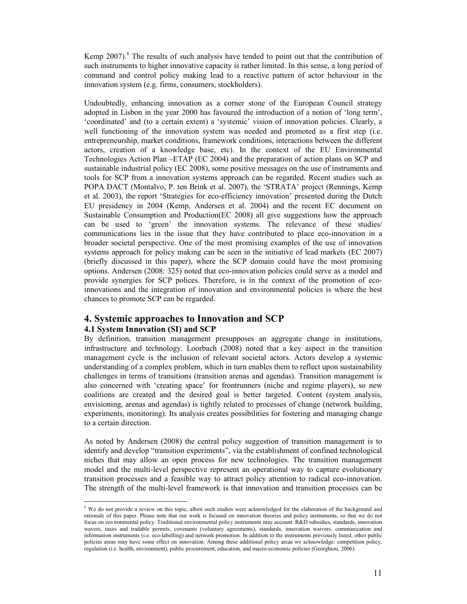Kemp  $2007$ ).<sup>8</sup> The results of such analysis have tended to point out that the contribution of such instruments to higher innovative capacity is rather limited. In this sense, a long period of command and control policy making lead to a reactive pattern of actor behaviour in the innovation system (e.g. firms, consumers, stockholders).

Undoubtedly, enhancing innovation as a corner stone of the European Council strategy adopted in Lisbon in the year 2000 has favoured the introduction of a notion of 'long term', 'coordinated' and (to a certain extent) a 'systemic' vision of innovation policies. Clearly, a well functioning of the innovation system was needed and promoted as a first step (i.e. entrepreneurship, market conditions, framework conditions, interactions between the different actors, creation of a knowledge base, etc). In the context of the EU Environmental Technologies Action Plan –ETAP (EC 2004) and the preparation of action plans on SCP and sustainable industrial policy (EC 2008), some positive messages on the use of instruments and tools for SCP from a innovation systems approach can be regarded. Recent studies such as POPA DACT (Montalvo, P. ten Brink et al. 2007), the 'STRATA' project (Rennings, Kemp et al. 2003), the report 'Strategies for eco-efficiency innovation' presented during the Dutch EU presidency in 2004 (Kemp, Andersen et al. 2004) and the recent EC document on Sustainable Consumption and Production(EC 2008) all give suggestions how the approach can be used to 'green' the innovation systems. The relevance of these studies/ communications lies in the issue that they have contributed to place eco-innovation in a broader societal perspective. One of the most promising examples of the use of innovation systems approach for policy making can be seen in the initiative of lead markets (EC 2007) (briefly discussed in this paper), where the SCP domain could have the most promising options. Andersen (2008: 325) noted that eco-innovation policies could serve as a model and provide synergies for SCP polices. Therefore, is in the context of the promotion of ecoinnovations and the integration of innovation and environmental policies is where the best chances to promote SCP can be regarded.

# **4. Systemic approaches to Innovation and SCP 4.1 System Innovation (SI) and SCP**

By definition, transition management presupposes an aggregate change in institutions, infrastructure and technology. Loorbach (2008) noted that a key aspect in the transition management cycle is the inclusion of relevant societal actors. Actors develop a systemic understanding of a complex problem, which in turn enables them to reflect upon sustainability challenges in terms of transitions (transition arenas and agendas). Transition management is also concerned with 'creating space' for frontrunners (niche and regime players), so new coalitions are created and the desired goal is better targeted. Content (system analysis, envisioning, arenas and agendas) is tightly related to processes of change (network building, experiments, monitoring). Its analysis creates possibilities for fostering and managing change to a certain direction.

As noted by Andersen (2008) the central policy suggestion of transition management is to identify and develop "transition experiments", via the establishment of confined technological niches that may allow an open process for new technologies. The transition management model and the multi-level perspective represent an operational way to capture evolutionary transition processes and a feasible way to attract policy attention to radical eco-innovation. The strength of the multi-level framework is that innovation and transition processes can be

<sup>&</sup>lt;sup>8</sup> We do not provide a review on this topic, albeit such studies were acknowledged for the elaboration of the background and rationale of this paper. Please note that our work is focused on innovation theories and policy instruments, so that we do not focus on environmental policy. Traditional environmental policy instruments may account: R&D subsidies, standards, innovation wavers, taxes and tradable permits, covenants (voluntary agreements), standards, innovation waivers, communication and information instruments (i.e. eco-labelling) and network promotion. In addition to the instruments previously listed, other public policies areas may have some effect on innovation. Among these additional policy areas we acknowledge: competition policy, regulation (i.e. health, environment), public procurement, education, and macro-economic policies (Georghiou, 2006).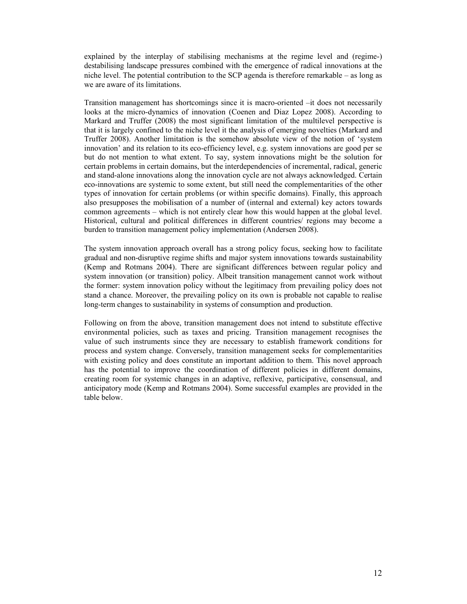explained by the interplay of stabilising mechanisms at the regime level and (regime-) destabilising landscape pressures combined with the emergence of radical innovations at the niche level. The potential contribution to the SCP agenda is therefore remarkable – as long as we are aware of its limitations.

Transition management has shortcomings since it is macro-oriented –it does not necessarily looks at the micro-dynamics of innovation (Coenen and Diaz Lopez 2008). According to Markard and Truffer (2008) the most significant limitation of the multilevel perspective is that it is largely confined to the niche level it the analysis of emerging novelties (Markard and Truffer 2008). Another limitation is the somehow absolute view of the notion of 'system innovation' and its relation to its eco-efficiency level, e.g. system innovations are good per se but do not mention to what extent. To say, system innovations might be the solution for certain problems in certain domains, but the interdependencies of incremental, radical, generic and stand-alone innovations along the innovation cycle are not always acknowledged. Certain eco-innovations are systemic to some extent, but still need the complementarities of the other types of innovation for certain problems (or within specific domains). Finally, this approach also presupposes the mobilisation of a number of (internal and external) key actors towards common agreements – which is not entirely clear how this would happen at the global level. Historical, cultural and political differences in different countries/ regions may become a burden to transition management policy implementation (Andersen 2008).

The system innovation approach overall has a strong policy focus, seeking how to facilitate gradual and non-disruptive regime shifts and major system innovations towards sustainability (Kemp and Rotmans 2004). There are significant differences between regular policy and system innovation (or transition) policy. Albeit transition management cannot work without the former: system innovation policy without the legitimacy from prevailing policy does not stand a chance. Moreover, the prevailing policy on its own is probable not capable to realise long-term changes to sustainability in systems of consumption and production.

Following on from the above, transition management does not intend to substitute effective environmental policies, such as taxes and pricing. Transition management recognises the value of such instruments since they are necessary to establish framework conditions for process and system change. Conversely, transition management seeks for complementarities with existing policy and does constitute an important addition to them. This novel approach has the potential to improve the coordination of different policies in different domains, creating room for systemic changes in an adaptive, reflexive, participative, consensual, and anticipatory mode (Kemp and Rotmans 2004). Some successful examples are provided in the table below.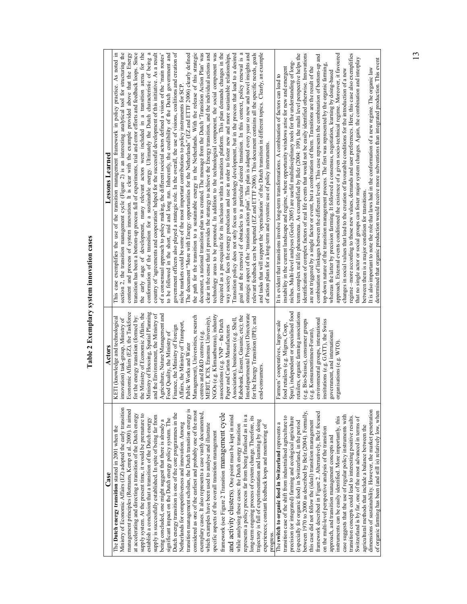Table 2 Exemplary system innovation cases **Table 2 Exemplary system innovation cases** 

| Case                                                                                                                            | Actors                                                                                     | <b>Lessons Learned</b>                                                                                                                                                                                                     |
|---------------------------------------------------------------------------------------------------------------------------------|--------------------------------------------------------------------------------------------|----------------------------------------------------------------------------------------------------------------------------------------------------------------------------------------------------------------------------|
| Ministry of Economic Affairs (EZ) adopted the early transition<br>The Dutch energy transition started in 2001 when the          | KETI (knowledge and technological<br>innovation) task-group, Ministry of                   | section 2, the transition management cycle (Figure 2) is an interesting analytical tool for structuring the<br>This case exemplifies the use of the transition management framework in policy practice. As noted in        |
| management principles (Rotmans, Kemp et al. 2000). It aimed<br>at accelerating and directing a transition of the Dutch energy   | Economic Affairs (EZ), the Taskforce<br>for the energy transition (formed by:              | transition has been a bottom-up process full of experiments, trial and error efforts and feedback loops. Since<br>content and process of system innovation. It is clear with the example provided above that the Energy    |
| supply system. At the present time, it would be premature to                                                                    | the Ministry of Economic Affairs, the                                                      | the early stage of development, many relevant actors were included in a transition arena for the                                                                                                                           |
| supply is successfully established. In spite of being far from<br>establish a conclusion that a transition of the Dutch energy  | Ministry of Housing, Spatial Planning<br>the Environment, the Ministry of<br>$\frac{1}{2}$ | conformation of the transition for a sustainable energy. Ultimately the Dutch characteristic of being a<br>country of 'agreements and cooperation' helped for the successful development of this initiative. As a result   |
| being concluded, one might suggest that there is already a                                                                      | Agriculture, Nature Management and                                                         | of a consensual approach to policy making, the different societal actors defined a vision of the 'main routes'                                                                                                             |
| significant impact on the Dutch energy policy system. The                                                                       | Finance, the Ministry of Foreign<br>Food Quality, the Ministry of                          | government officers also played a strategic role. In the overall, the use of visions, coalitions and creation of<br>to be followed in the short, mid and long run. Inherently, the credibility of the Dutch government and |
| Dutch energy transition is one of the core programmes in the<br>Netherlands for competitiveness and innovation. Among           | Affairs, the Ministry of Transport,                                                        | niche markets could be some of the most important contributions to policy instruments for SCP                                                                                                                              |
| transition management scholars, the Dutch transition energy is                                                                  | Public Works and Water                                                                     | The document "More with Energy: opportunities for the Netherlands" (EZ and ETTF 2006) clearly defined                                                                                                                      |
| considered as one of the earliest and probably one of the most<br>exemplary cases. It also represents a case vastly documented  | Management), Universities, research<br>centres and R&D centres (e.g.                       | the path for the transition to a sustainable energy in the Netherlands. With the release of this strategic<br>document, a national transition plan was created. The message from the Dutch 'Transition Action Plan' was    |
| which examples have been used to analyse and illustrate                                                                         | MERIT, ICIS, Erasmus University),                                                          | clear in the sense that it provides the strategy to achieve the Energy transition, and the individual actions and                                                                                                          |
| specific aspects of the overall transition management                                                                           | NGOs (e.g. Klimaatbureau), industry                                                        | technology areas to be promoted. In addition to the technological component, the social component was                                                                                                                      |
| framework (see Figure 2 Transition management cycle                                                                             | associations (e.g. $VNP$ – the Dutch                                                       | required as a pre-requisite for its inclusion within a transition platform. This plan demands changes in the                                                                                                               |
| and activity clusters). One point must be kept in mind                                                                          | Association), businesses (e.g. Shell,<br>Paper and Carton Manufacturers                    | way society faces the energy production and use in order to foster new and more sustainable relationships.<br>Transition policy does not only focus on technology development, but in the process that lead to a desired   |
| while analysing these cases: the Dutch energy transition                                                                        | Rabobank, Essent, Gasunie, etc); the                                                       | goal and the removal of obstacles to a particular desired transition. In this context, policy renewal is a                                                                                                                 |
| represents a policy process far from being finalised as it is a                                                                 | Interdepartmental Project Directorate                                                      | strategic aspect of the 'transition action plan'. This plan is adapted every year so new and novel insights and                                                                                                            |
| long-term ongoing process of system change. Therefore, its<br>trajectory is full of experimentation and learning by doing       | for the Energy Transition (IPE); and                                                       | relevant feedback can be inputted (EZ and ETTF 2006). This document contains all the specific needs, goals                                                                                                                 |
| experiences; constant feedback loops and monitoring of                                                                          | end-consumers                                                                              | and tasks that will support the 'operalisation' of the Dutch transition in different topics. Clearly, an example<br>of action plans for a long-term and systemic use of policy instruments.                                |
| progress.                                                                                                                       |                                                                                            |                                                                                                                                                                                                                            |
| The switch to organic food in Switzerland represents a                                                                          | Farmers' cooperatives, large-scale                                                         | It is evident that transitions involve long-term transformations. A combination of factors can lead to                                                                                                                     |
| transition case of the shift from industrialised agriculture to<br>precision (or integrated) farming and ecological agriculture | Spar), independent or specialised food<br>food retailers (e.g. Migros, Coop,               | niches. Multi-level analyses (Geels 2005) are useful multidisciplinary tools for the understanding of long-<br>instability in the current landscape and regime, where opportunity windows arise for new and emergent       |
| especially for organic food) in Switzerland, in the period                                                                      | lers, organic farming associations<br>retai                                                | term complex real life phenomena. As exemplified by Belz (2004: 109), the multi level perspective helps the                                                                                                                |
| between 1970 to 2000 as described by Belz (2004). Formally,                                                                     | Bio-Suisse), consumer groups                                                               | identification of complex factors of real life events that would not be easily identified otherwise. Innovations                                                                                                           |
| this case did not follow the (ideal) transition management                                                                      | Konsumentinnen-Forum).                                                                     | are not triggered by a single factor or event, but a combination of them. Transitions are the result of the                                                                                                                |
| framework described in Figure 2. Alternatively, Belz focused                                                                    | environmental groups, international                                                        | combination of linkages between the different levels. This case represents the combination of bottom-up and                                                                                                                |
| on the multi-level perspective analysis of the transition<br>approach, and transition management concepts and                   | institutions (e.g. GATT), the Swiss<br>government, and international                       | top-down nature of the transition management process. The first was represented by the organic farming,<br>whereas the latter by precision farming. It followed a consensus, negotiation, learning by doing-based          |
| instruments can be easily identified. More importantly, this                                                                    | organisations (e.g. WTO).                                                                  | approach. External events conditioned the existence of a given socio-technical regime. Moreover, it favoured                                                                                                               |
| case suggests that the use of regular policy instruments with                                                                   |                                                                                            | changes in social values that lead to the creation of favourable conditions for the introduction of a new                                                                                                                  |
| transition concepts could lead to interesting positive results.                                                                 |                                                                                            | regime -more according to those new values, demands and user preferences. Here, this case also exemplifies                                                                                                                 |
| Switzerland is by far, one of the most advanced in terms of<br>agricultural methods that include a balance between the          |                                                                                            | that no single actor or social groups can foster major system changes. Again, the combination and interplay<br>between them is a major condition for transitions.                                                          |
| dimensions of sustainability. However, the market penetration                                                                   |                                                                                            | It is also important to note the role that laws had in the conformation of a new regime. The organic law                                                                                                                   |
| of organic farming has been (and still is) relatively low, when                                                                 |                                                                                            | determined that organic production would receive more subventions than integrated production. This event                                                                                                                   |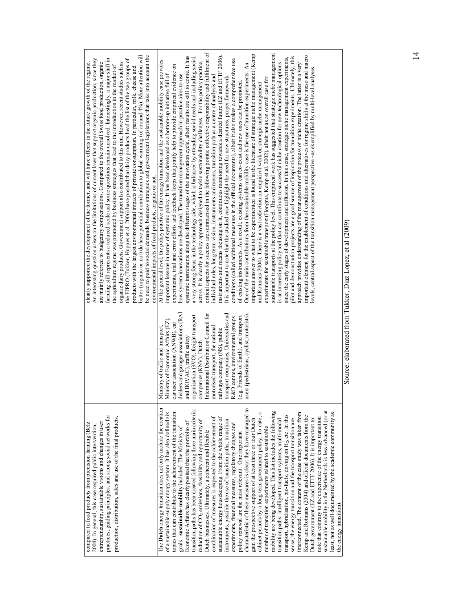| practices, guiding principles, and strong social networks for<br>production, distribution, sales and use of the final products.<br>entrepreneurship, sustainable visions and changes in user<br>compared to food products from precision farming (Belz<br>2004). In general, this case required public intervention,                                                                                                                                                                                                                                                                                                                                                                                                                                                                                                                                                                                                                                                                                                                                                                                                                                                                                                                                                                                                                                                                                                                                                                                                                                                                                                                                                                                                                                                                         |                                                                                                                                                                                                                                                                                                                                                                                                                                                                                                                                                  | be need to paid to social demands, business strategies and government legislations that take into account the<br>butter (organic or not) do have potential contribution to global warming (of around 4%). More attention will<br>farming still represents a reduced-scale and some questions remain unsolved. Interestingly, a major shift in<br>the EIPRO (Tukker, Huppes et al. 2006) have posited that dairy products head the list of the two groups of<br>An interesting question arises on the limitations of current laws that support organic production, since they<br>are mainly referred to budgetary compensations. Compared to the overall Swiss food production, organic<br>clearly supported the development of the former, and will have effects in the future growth of the regime.<br>organic dairy products. Government support also contributed to this aim. However, recent studies such as<br>the agriculture regime was promoted by business strategies that lead to the introduction in the market of<br>products with the largest environmental impacts of private consumption. In particular, milk, cheese and<br>environmental impacts of food products, organic or not.                                                                                                                                                                                                                                                                                                                                                                                                                                                                                                                                                                                                                                                                                                                                                                                                                                                                                                                                                                                                                                                                                                                                                                                                                                                                                                                                                                                                                                                                                                               |
|----------------------------------------------------------------------------------------------------------------------------------------------------------------------------------------------------------------------------------------------------------------------------------------------------------------------------------------------------------------------------------------------------------------------------------------------------------------------------------------------------------------------------------------------------------------------------------------------------------------------------------------------------------------------------------------------------------------------------------------------------------------------------------------------------------------------------------------------------------------------------------------------------------------------------------------------------------------------------------------------------------------------------------------------------------------------------------------------------------------------------------------------------------------------------------------------------------------------------------------------------------------------------------------------------------------------------------------------------------------------------------------------------------------------------------------------------------------------------------------------------------------------------------------------------------------------------------------------------------------------------------------------------------------------------------------------------------------------------------------------------------------------------------------------|--------------------------------------------------------------------------------------------------------------------------------------------------------------------------------------------------------------------------------------------------------------------------------------------------------------------------------------------------------------------------------------------------------------------------------------------------------------------------------------------------------------------------------------------------|-------------------------------------------------------------------------------------------------------------------------------------------------------------------------------------------------------------------------------------------------------------------------------------------------------------------------------------------------------------------------------------------------------------------------------------------------------------------------------------------------------------------------------------------------------------------------------------------------------------------------------------------------------------------------------------------------------------------------------------------------------------------------------------------------------------------------------------------------------------------------------------------------------------------------------------------------------------------------------------------------------------------------------------------------------------------------------------------------------------------------------------------------------------------------------------------------------------------------------------------------------------------------------------------------------------------------------------------------------------------------------------------------------------------------------------------------------------------------------------------------------------------------------------------------------------------------------------------------------------------------------------------------------------------------------------------------------------------------------------------------------------------------------------------------------------------------------------------------------------------------------------------------------------------------------------------------------------------------------------------------------------------------------------------------------------------------------------------------------------------------------------------------------------------------------------------------------------------------------------------------------------------------------------------------------------------------------------------------------------------------------------------------------------------------------------------------------------------------------------------------------------------------------------------------------------------------------------------------------------------------------------------------------------------------------------------------------------------|
| The <b>Dutch</b> energy transition does not only include the creation<br>characteristic of these measures is clear: they have managed to<br>transition paths has been created following three main criteria<br>sustainable mobility in the Netherlands is less advanced (or at<br>mobility are being developed. This list includes the following<br>interconnected. The content of the case study was taken from<br>topics that can contribute to the achievement of the transition<br>cabinet periods by a long term government policy. To date, a<br>least, not as well documented by the academic community as<br>of a sustainable-supply energy system. It has also defined six<br>transport, hybridisation, bio-fuels, driving on H <sub>2</sub> , etc. In this<br>Kemp and Rotmans (2004) and official documents from the<br>combination of measures is expected to the achievement of<br>note that contrary to the experience of the energy transition<br>sustainable energy housekeeping. From the whole range of<br>Dutch government (EZ and ETTF 2006). It is important to<br>sense, the energy transition and the transport transition are<br>reduction of CO <sub>2</sub> emissions, feasibility and opportunity of<br>transition paths: intelligent transport systems, multi-modal<br>gain the prospective support of at least three or four Dutch<br>instruments, possible the use of transition paths, transition<br>Economic Affairs has clearly posited that the portfolio of<br>experiments, financial measures, regulatory changes and<br>number of transition experiments related to sustainable<br>goals-sustainable mobility included. The Ministry of<br>Dutch businesses. Ultimately, a coherent and flexible<br>policy renewal are the most relevant. One important | dealers and garages associations (RAI<br>transport companies, Universities and<br>International Distribution Council for<br>organisation (3VO), freight transport<br>users (pedestrians, cyclist, motorists).<br>(e.g. Friends of Earth), and transport<br>R&D centres, environmental groups<br>Ministry of Economic Affairs (EZ),<br>user association (ANWB), car<br>Ministry of traffic and transport,<br>motorised transport, the national<br>railways company (NS), public<br>BOVAC), traffic safety<br>companies (KNV). Dutch<br>car<br>and | critical aspects for success are summarised in the following points: collective responsibility and fulfilment of<br>sustainable transports at the policy level. This empirical work has suggested that strategic niche management<br>important answer to what to be experimented is found in the literature of strategic niche management (Kemp<br>instruments and means focusing on it, continuous monitoring towards a desired future (EZ and ETTF 2006).<br>pilot and demonstration projects are a good source of inspiration for transition experiments. Ultimately, this<br>important element for the enablement of conditions and alternatives for regime shifts at the meso and macro<br>systemic instruments along the different stages of the innovation cycle, albeit results are still to come. It has<br>since the early stages of development and diffusion. In this sense, strategic niche management experiments,<br>a very strong focus in the technology side, which is balanced by attending social needs and including social<br>conditions (called additional measures in the official documents), albeit it also makes a comprehensive use<br>At the general level, the policy practice of the energy transition and the sustainable mobility case provides<br>actors. It is clearly a policy approach designed to tackle sustainability challenges. For the policy practice,<br>is an interesting policy tool that can contribute to successful niche creation for new technological options<br>One of the main contributions from the sustainable mobility case is the use of transition experiments. An<br>approach provides understanding of the management of the process of niche creation. The latter is a very<br>experiments, trial and error efforts and feedback loops that jointly help to provide empirical evidence on<br>evels, central aspect of the transition management perspective -as exemplified by multi-level analyses.<br>how system innovations are developed. The transition management approach in practice aims to use<br>important lessons in terms of systemic policy. It has been developed as a bottom-up initiative full of<br>individual roles, long term vision, instruments and means, transition path as a centre of analysis and<br>It is important to note that the studied case highlight the need for new structures, proper framework<br>experiments for sustainable transport (Hoogma, Kemp et al. 2002), albeit not as an overall case for<br>of existing instruments. As a result, existing systems can co-exist and new ones can be promoted<br>and Rotmans 2004). There is a vast collection on empirical work on strategic niche management |
| the energy transition                                                                                                                                                                                                                                                                                                                                                                                                                                                                                                                                                                                                                                                                                                                                                                                                                                                                                                                                                                                                                                                                                                                                                                                                                                                                                                                                                                                                                                                                                                                                                                                                                                                                                                                                                                        | έ                                                                                                                                                                                                                                                                                                                                                                                                                                                                                                                                                | (0.0001)<br>ï<br>$T_{\rm bol}$                                                                                                                                                                                                                                                                                                                                                                                                                                                                                                                                                                                                                                                                                                                                                                                                                                                                                                                                                                                                                                                                                                                                                                                                                                                                                                                                                                                                                                                                                                                                                                                                                                                                                                                                                                                                                                                                                                                                                                                                                                                                                                                                                                                                                                                                                                                                                                                                                                                                                                                                                                                                                                                                                    |

Source: elaborated from Tukker, Diaz Lopez, et al (2009) Source: elaborated from Tukker, Diaz Lopez, et al (2009)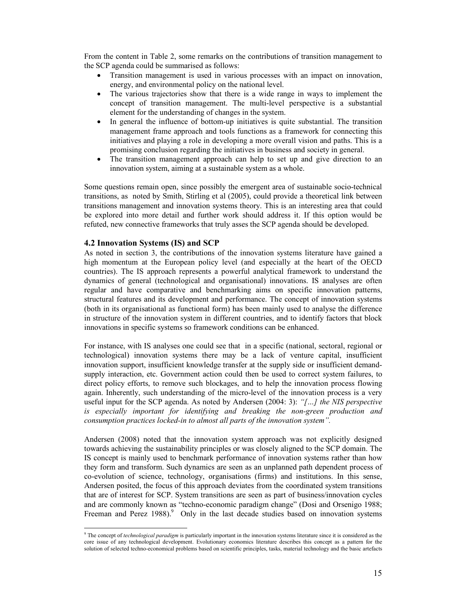From the content in Table 2, some remarks on the contributions of transition management to the SCP agenda could be summarised as follows:

- Transition management is used in various processes with an impact on innovation, energy, and environmental policy on the national level.
- The various trajectories show that there is a wide range in ways to implement the concept of transition management. The multi-level perspective is a substantial element for the understanding of changes in the system.
- In general the influence of bottom-up initiatives is quite substantial. The transition management frame approach and tools functions as a framework for connecting this initiatives and playing a role in developing a more overall vision and paths. This is a promising conclusion regarding the initiatives in business and society in general.
- The transition management approach can help to set up and give direction to an innovation system, aiming at a sustainable system as a whole.

Some questions remain open, since possibly the emergent area of sustainable socio-technical transitions, as noted by Smith, Stirling et al (2005), could provide a theoretical link between transitions management and innovation systems theory. This is an interesting area that could be explored into more detail and further work should address it. If this option would be refuted, new connective frameworks that truly asses the SCP agenda should be developed.

## **4.2 Innovation Systems (IS) and SCP**

As noted in section 3, the contributions of the innovation systems literature have gained a high momentum at the European policy level (and especially at the heart of the OECD countries). The IS approach represents a powerful analytical framework to understand the dynamics of general (technological and organisational) innovations. IS analyses are often regular and have comparative and benchmarking aims on specific innovation patterns, structural features and its development and performance. The concept of innovation systems (both in its organisational as functional form) has been mainly used to analyse the difference in structure of the innovation system in different countries, and to identify factors that block innovations in specific systems so framework conditions can be enhanced.

For instance, with IS analyses one could see that in a specific (national, sectoral, regional or technological) innovation systems there may be a lack of venture capital, insufficient innovation support, insufficient knowledge transfer at the supply side or insufficient demandsupply interaction, etc. Government action could then be used to correct system failures, to direct policy efforts, to remove such blockages, and to help the innovation process flowing again. Inherently, such understanding of the micro-level of the innovation process is a very useful input for the SCP agenda. As noted by Andersen (2004: 3): *"[…] the NIS perspective is especially important for identifying and breaking the non-green production and consumption practices locked-in to almost all parts of the innovation system".* 

Andersen (2008) noted that the innovation system approach was not explicitly designed towards achieving the sustainability principles or was closely aligned to the SCP domain. The IS concept is mainly used to benchmark performance of innovation systems rather than how they form and transform. Such dynamics are seen as an unplanned path dependent process of co-evolution of science, technology, organisations (firms) and institutions. In this sense, Andersen posited, the focus of this approach deviates from the coordinated system transitions that are of interest for SCP. System transitions are seen as part of business/innovation cycles and are commonly known as "techno-economic paradigm change" (Dosi and Orsenigo 1988; Freeman and Perez  $1988$ ).<sup>9</sup> Only in the last decade studies based on innovation systems

 9 The concept of *technological paradigm* is particularly important in the innovation systems literature since it is considered as the core issue of any technological development. Evolutionary economics literature describes this concept as a pattern for the solution of selected techno-economical problems based on scientific principles, tasks, material technology and the basic artefacts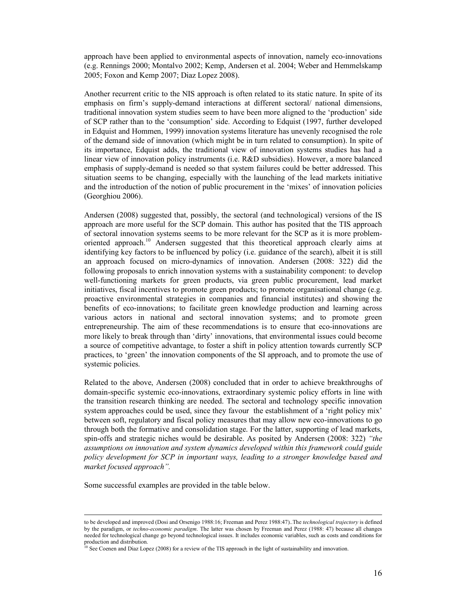approach have been applied to environmental aspects of innovation, namely eco-innovations (e.g. Rennings 2000; Montalvo 2002; Kemp, Andersen et al. 2004; Weber and Hemmelskamp 2005; Foxon and Kemp 2007; Diaz Lopez 2008).

Another recurrent critic to the NIS approach is often related to its static nature. In spite of its emphasis on firm's supply-demand interactions at different sectoral/ national dimensions, traditional innovation system studies seem to have been more aligned to the 'production' side of SCP rather than to the 'consumption' side. According to Edquist (1997, further developed in Edquist and Hommen, 1999) innovation systems literature has unevenly recognised the role of the demand side of innovation (which might be in turn related to consumption). In spite of its importance, Edquist adds, the traditional view of innovation systems studies has had a linear view of innovation policy instruments (i.e. R&D subsidies). However, a more balanced emphasis of supply-demand is needed so that system failures could be better addressed. This situation seems to be changing, especially with the launching of the lead markets initiative and the introduction of the notion of public procurement in the 'mixes' of innovation policies (Georghiou 2006).

Andersen (2008) suggested that, possibly, the sectoral (and technological) versions of the IS approach are more useful for the SCP domain. This author has posited that the TIS approach of sectoral innovation systems seems to be more relevant for the SCP as it is more problemoriented approach.<sup>10</sup> Andersen suggested that this theoretical approach clearly aims at identifying key factors to be influenced by policy (i.e. guidance of the search), albeit it is still an approach focused on micro-dynamics of innovation. Andersen (2008: 322) did the following proposals to enrich innovation systems with a sustainability component: to develop well-functioning markets for green products, via green public procurement, lead market initiatives, fiscal incentives to promote green products; to promote organisational change (e.g. proactive environmental strategies in companies and financial institutes) and showing the benefits of eco-innovations; to facilitate green knowledge production and learning across various actors in national and sectoral innovation systems; and to promote green entrepreneurship. The aim of these recommendations is to ensure that eco-innovations are more likely to break through than 'dirty' innovations, that environmental issues could become a source of competitive advantage, to foster a shift in policy attention towards currently SCP practices, to 'green' the innovation components of the SI approach, and to promote the use of systemic policies.

Related to the above, Andersen (2008) concluded that in order to achieve breakthroughs of domain-specific systemic eco-innovations, extraordinary systemic policy efforts in line with the transition research thinking are needed. The sectoral and technology specific innovation system approaches could be used, since they favour the establishment of a 'right policy mix' between soft, regulatory and fiscal policy measures that may allow new eco-innovations to go through both the formative and consolidation stage. For the latter, supporting of lead markets, spin-offs and strategic niches would be desirable. As posited by Andersen (2008: 322) *"the assumptions on innovation and system dynamics developed within this framework could guide policy development for SCP in important ways, leading to a stronger knowledge based and market focused approach".* 

Some successful examples are provided in the table below.

 $\ddot{\phantom{a}}$ 

to be developed and improved (Dosi and Orsenigo 1988:16; Freeman and Perez 1988:47)..The *technological trajectory* is defined by the paradigm, or *techno-economic paradigm*. The latter was chosen by Freeman and Perez (1988: 47) because all changes needed for technological change go beyond technological issues. It includes economic variables, such as costs and conditions for production and distribution.

<sup>10</sup> See Coenen and Diaz Lopez (2008) for a review of the TIS approach in the light of sustainability and innovation.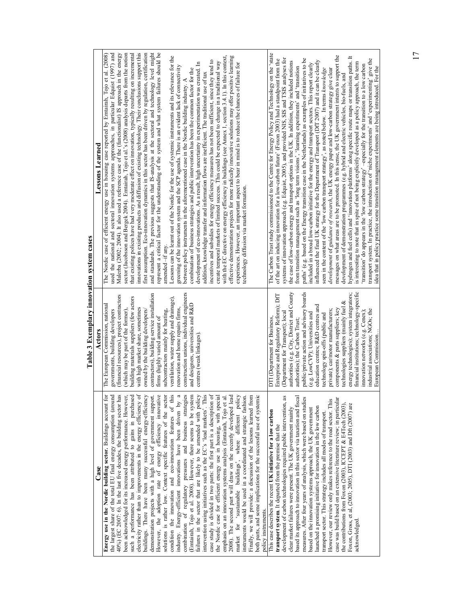|                                           | Lessons Learned | innovations in existing products and diffusion of existing technology. Their conclusions support this<br>represent a critical factor for the understanding of the system and what system failures should be<br>used the national and sectoral imovation systems approaches, in particular Edquist (1997) and<br>sector (Jacobsson and Bergek 2004). Emtairah, Tojo et al.'s (2008) analysis departs from the notion<br>first assumption. Eco-innovation dynamics in this sector has been driven by regulation, certification<br>and standards. The previous suggests that IS-analysis at the sectoral and technology level might<br>Malerba (2002; 2004). It also used a reference case of the (functionalist) IS approach in the energy<br>The Nordic case of efficient energy use in housing case reported by Emtairah, Tojo et al. (2008)<br>that existing polices have had very moderate effect on innovation, typically resulting on incremental<br>Lessons can be learnt out of the Nordic for the use of systemic instruments and its relevance for the<br>with the EC directive on energy efficiency in buildings (see Annex 1, section 3.4.1). In this context,<br>effective demonstration projects for more radically innovative solutions may offer positive learning<br>incentives and subsidies for energy efficiency measures has not been sufficient, since they tend to<br>create temporal markets of limited success. This could be expected to change in a traditional way<br>development of eco-innovations. As a result, high uncertainty in experimentation was created. In<br>experiences. However, an important aspect to bear in mind is to reduce the chances of failure for<br>greening of the innovation system and the SCP agenda. There is an evident lack of connectivity<br>between policy instruments in the aforementioned case in the Nordic building industry. A<br>combination of business strategies and public intervention has been the common factor for the<br>addition, knowledge transfer and information flows are inefficient. The traditional use of tax<br>technology diffusion via market formation.<br>amended -if any. | The Carbon Trust study commissioned to the Centre for Energy Policy and Technology on the 'state<br>messages on what areas are to be promoted. In this sense, the UK government intents to support the<br>hydrogen and fuel cells) and 'innovation platforms' along specific route maps or transition paths. It<br>systems of innovation approach (e.g. Edquist, 2005), and provided NIS, SIS and TSIS analyses for<br>of the art on inducing innovation for a low-carbon future' (Foxon 2003) had a standpoint from the<br>paths' (e.g. based on the Energy transition case in the Netherlands) as examples of initiatives to be<br>transport system. In practice, the introduction of 'niche experiments' and 'experimenting' give the<br>influenced the final UK strategy for the Department of Transport (DfT 2007) and it can be clearly<br>the case of low-carbon energy and transport options in the UK. In addition, they included notions<br>is interesting to note that in spite of not being explicitly developed as a policy approach, the term<br>included in a broad low-carbon initiative for the energy and transport sectors. This report clearly<br>'transition' do appears in the 'low carbon strategy' -especially for the transition to a low carbon<br>from transition management such as 'long term visions', 'learning experiments' and 'transition<br>seen in the content of the 'low carbon transport strategy', as noted below. In terms knowledge<br>development of guidance of research, the UK energy paper and low-carbon strategy give clear<br>development of demonstration programmes (e.g. hybrid and electric vehicles, bio-fuels, and |
|-------------------------------------------|-----------------|--------------------------------------------------------------------------------------------------------------------------------------------------------------------------------------------------------------------------------------------------------------------------------------------------------------------------------------------------------------------------------------------------------------------------------------------------------------------------------------------------------------------------------------------------------------------------------------------------------------------------------------------------------------------------------------------------------------------------------------------------------------------------------------------------------------------------------------------------------------------------------------------------------------------------------------------------------------------------------------------------------------------------------------------------------------------------------------------------------------------------------------------------------------------------------------------------------------------------------------------------------------------------------------------------------------------------------------------------------------------------------------------------------------------------------------------------------------------------------------------------------------------------------------------------------------------------------------------------------------------------------------------------------------------------------------------------------------------------------------------------------------------------------------------------------------------------------------------------------------------------------------------------------------------------------------------------------------------------------------------------------------------------------------------------------------------------------------------------------------------------------------------------------------------------|----------------------------------------------------------------------------------------------------------------------------------------------------------------------------------------------------------------------------------------------------------------------------------------------------------------------------------------------------------------------------------------------------------------------------------------------------------------------------------------------------------------------------------------------------------------------------------------------------------------------------------------------------------------------------------------------------------------------------------------------------------------------------------------------------------------------------------------------------------------------------------------------------------------------------------------------------------------------------------------------------------------------------------------------------------------------------------------------------------------------------------------------------------------------------------------------------------------------------------------------------------------------------------------------------------------------------------------------------------------------------------------------------------------------------------------------------------------------------------------------------------------------------------------------------------------------------------------------------------------------------------------------------------------------------|
| Table 3 Exemplary innovation system cases | Actors          | construction unions, individual engineers<br>contractors), building service installation<br>(financial resources), project contractors<br>building materials suppliers (few actors<br>ventilation, water supply and drainage),<br>and designers, universities and R&D<br>The European Commission, national<br>renovation and home repairs firms,<br>with high market share, sometimes<br>which may be part of the former),<br>owned by the building developers/<br>subcontractors mainly for heating,<br>governments, building developers<br>firms (highly varied amount of<br>centres (weak linkages)                                                                                                                                                                                                                                                                                                                                                                                                                                                                                                                                                                                                                                                                                                                                                                                                                                                                                                                                                                                                                                                                                                                                                                                                                                                                                                                                                                                                                                                                                                                                                                   | financial institutions; technology-specific<br>public/private action and advisory boards<br>authorities (e.g. City, District and County<br>energy technologies); system integrators;<br>Enterprise and Regulatory Reform); DfT<br>technologies suppliers (mainly fuel &<br>education centres; R&D centres and<br>components & parts suppliers; key<br>private); car/motor manufacturers;<br>industrial associations; NGOs; the<br>innovation networks (e.g. Cenex);<br>(e.g. LowCVP); Universities and<br>(Department for Transport); local<br>technology spin-offs (public and<br>DTI (Department for Business.<br>authorities); the Carbon Trust;                                                                                                                                                                                                                                                                                                                                                                                                                                                                                                                                                                                                                                                                                                                                                                                                                                                                                                                                                                                                                        |
|                                           | Case            | 40%) (EC 2007: 6). In the last five decades, the building sector has<br>electricity rather than to improvements in the energy efficiency of<br>case study is divided in two parts: the first part is a description of<br>condition the innovation and eco-innovation features of this<br>combination of regulatory pressures and business strategies<br>intervention using initiatives such as the EC's 'lead markets'. This<br>market for 'sustainable buildings', where different policy<br>buildings. There have been many successful energy-efficiency<br>However, the adoption rate of energy efficiency innovative<br>solutions is rather low. Context specific features of the sector<br>industry. Energy-efficient innovations have been driven by a<br>(Emtairah, Tojo et al. 2008). However, there seems to be system<br>failures in the sector that are likely to be amended with policy<br>2008). The second part will draw on the recently developed lead<br>Finally, we will provide: a discussion of the lessons learned from<br>the largest share of the total EU final energy consumption (around<br>been acknowledged for its increased energy performance. However,<br>such a performance has been attributed to gains in purchased<br>instruments would be used in a coordinated and strategic fashion.<br>Energy use in the Nordic building sector. Buildings account for<br>demonstration projects with a high level of government support.<br>the Nordic case for efficient energy use in housing, with special<br>emphasis on an innovation systems analysis (Emtairah, Tojo et al.<br>both parts, and some implications for the successful use of systemic<br>policy instruments.                                                                                                                                                                                                                                                                                                                                                                                                                                                               | development of carbon technologies required public intervention, as<br>based its approach to innovation in this sector via taxation and fiscal<br>measures. After four years of analysis, which were based on studies<br>case was build based on an extensive literature review; in particular<br>However, our review only makes reference to the road sector. This<br>Foxon, Gross, et al, (2003; 2005), DTI (2003) and Dft (2007) are<br>the contributions from Foxon (2003), ICCEPT & E4Tech (2003),<br>launched a promising initiative for innovation in the low carbon<br>based on the innovation systems approach, the UK government<br>clear market failures were present. The UK government mainly<br>This case describes the recent UK initiative for a low carbon<br>transport sector. This strategy includes all modes of transport.<br>transport system. It departed from the premise that the<br>acknowledged.                                                                                                                                                                                                                                                                                                                                                                                                                                                                                                                                                                                                                                                                                                                                                |

17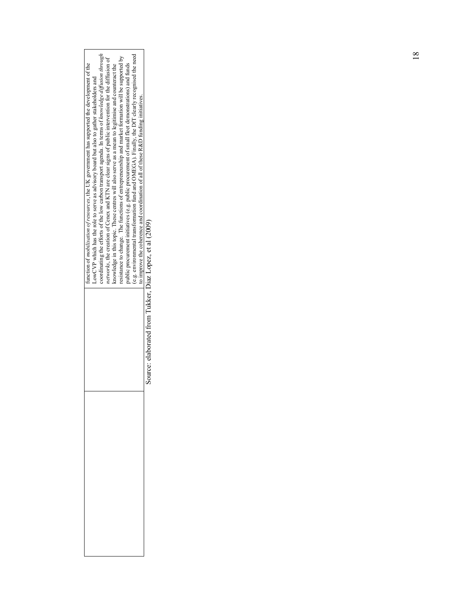Source: elaborated from Tukker, Diaz Lopez, et al (2009) Source: elaborated from Tukker, Diaz Lopez, et al (2009)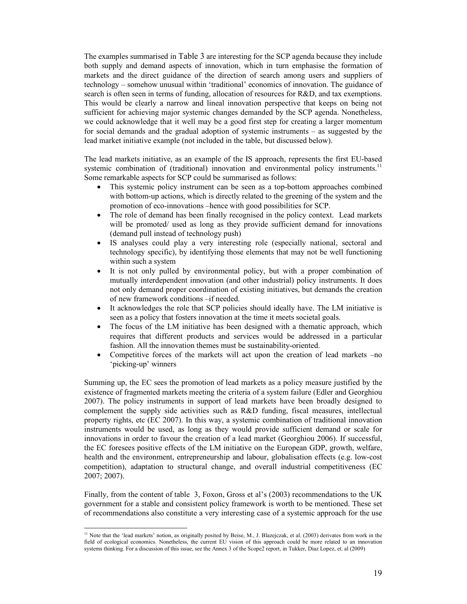The examples summarised in Table 3 are interesting for the SCP agenda because they include both supply and demand aspects of innovation, which in turn emphasise the formation of markets and the direct guidance of the direction of search among users and suppliers of technology – somehow unusual within 'traditional' economics of innovation. The guidance of search is often seen in terms of funding, allocation of resources for R&D, and tax exemptions. This would be clearly a narrow and lineal innovation perspective that keeps on being not sufficient for achieving major systemic changes demanded by the SCP agenda. Nonetheless, we could acknowledge that it well may be a good first step for creating a larger momentum for social demands and the gradual adoption of systemic instruments – as suggested by the lead market initiative example (not included in the table, but discussed below).

The lead markets initiative, as an example of the IS approach, represents the first EU-based systemic combination of (traditional) innovation and environmental policy instruments.<sup>11</sup> Some remarkable aspects for SCP could be summarised as follows:

- This systemic policy instrument can be seen as a top-bottom approaches combined with bottom-up actions, which is directly related to the greening of the system and the promotion of eco-innovations –hence with good possibilities for SCP.
- The role of demand has been finally recognised in the policy context. Lead markets will be promoted/ used as long as they provide sufficient demand for innovations (demand pull instead of technology push)
- IS analyses could play a very interesting role (especially national, sectoral and technology specific), by identifying those elements that may not be well functioning within such a system
- It is not only pulled by environmental policy, but with a proper combination of mutually interdependent innovation (and other industrial) policy instruments. It does not only demand proper coordination of existing initiatives, but demands the creation of new framework conditions –if needed.
- It acknowledges the role that SCP policies should ideally have. The LM initiative is seen as a policy that fosters innovation at the time it meets societal goals.
- The focus of the LM initiative has been designed with a thematic approach, which requires that different products and services would be addressed in a particular fashion. All the innovation themes must be sustainability-oriented.
- Competitive forces of the markets will act upon the creation of lead markets –no 'picking-up' winners

Summing up, the EC sees the promotion of lead markets as a policy measure justified by the existence of fragmented markets meeting the criteria of a system failure (Edler and Georghiou 2007). The policy instruments in support of lead markets have been broadly designed to complement the supply side activities such as R&D funding, fiscal measures, intellectual property rights, etc (EC 2007). In this way, a systemic combination of traditional innovation instruments would be used, as long as they would provide sufficient demand or scale for innovations in order to favour the creation of a lead market (Georghiou 2006). If successful, the EC foresees positive effects of the LM initiative on the European GDP, growth, welfare, health and the environment, entrepreneurship and labour, globalisation effects (e.g. low-cost competition), adaptation to structural change, and overall industrial competitiveness (EC 2007; 2007).

Finally, from the content of table 3, Foxon, Gross et al's (2003) recommendations to the UK government for a stable and consistent policy framework is worth to be mentioned. These set of recommendations also constitute a very interesting case of a systemic approach for the use

 $\ddot{\phantom{a}}$ 

<sup>&</sup>lt;sup>11</sup> Note that the 'lead markets' notion, as originally posited by Beise, M., J. Blazejczak, et al. (2003) derivates from work in the field of ecological economics. Nonetheless, the current EU vision of this approach could be more related to an innovation systems thinking. For a discussion of this issue, see the Annex 3 of the Scope2 report, in Tukker, Diaz Lopez, et. al (2009)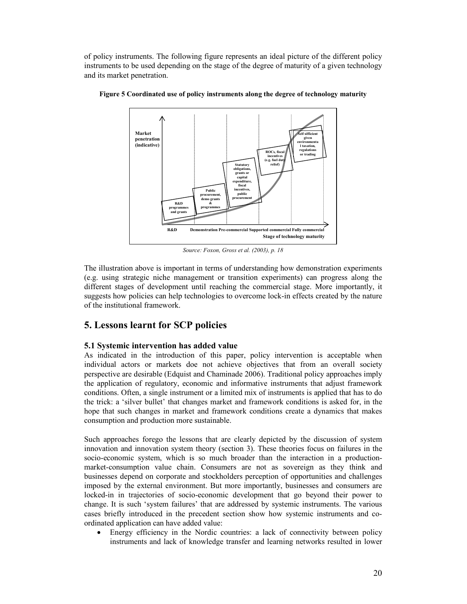of policy instruments. The following figure represents an ideal picture of the different policy instruments to be used depending on the stage of the degree of maturity of a given technology and its market penetration.



**Figure 5 Coordinated use of policy instruments along the degree of technology maturity** 

*Source: Foxon, Gross et al. (2003), p. 18* 

The illustration above is important in terms of understanding how demonstration experiments (e.g. using strategic niche management or transition experiments) can progress along the different stages of development until reaching the commercial stage. More importantly, it suggests how policies can help technologies to overcome lock-in effects created by the nature of the institutional framework.

# **5. Lessons learnt for SCP policies**

## **5.1 Systemic intervention has added value**

As indicated in the introduction of this paper, policy intervention is acceptable when individual actors or markets doe not achieve objectives that from an overall society perspective are desirable (Edquist and Chaminade 2006). Traditional policy approaches imply the application of regulatory, economic and informative instruments that adjust framework conditions. Often, a single instrument or a limited mix of instruments is applied that has to do the trick: a 'silver bullet' that changes market and framework conditions is asked for, in the hope that such changes in market and framework conditions create a dynamics that makes consumption and production more sustainable.

Such approaches forego the lessons that are clearly depicted by the discussion of system innovation and innovation system theory (section 3). These theories focus on failures in the socio-economic system, which is so much broader than the interaction in a productionmarket-consumption value chain. Consumers are not as sovereign as they think and businesses depend on corporate and stockholders perception of opportunities and challenges imposed by the external environment. But more importantly, businesses and consumers are locked-in in trajectories of socio-economic development that go beyond their power to change. It is such 'system failures' that are addressed by systemic instruments. The various cases briefly introduced in the precedent section show how systemic instruments and coordinated application can have added value:

• Energy efficiency in the Nordic countries: a lack of connectivity between policy instruments and lack of knowledge transfer and learning networks resulted in lower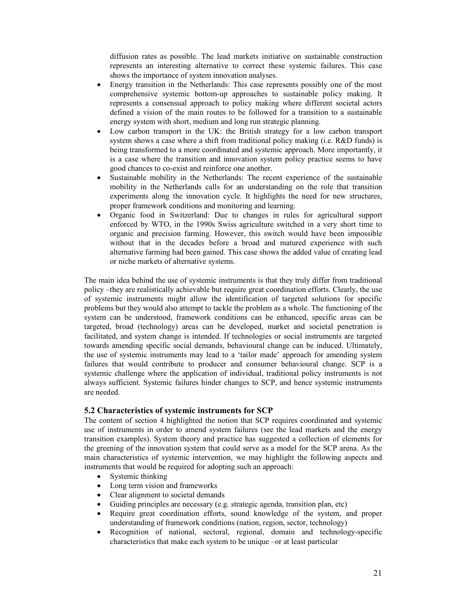diffusion rates as possible. The lead markets initiative on sustainable construction represents an interesting alternative to correct these systemic failures. This case shows the importance of system innovation analyses.

- Energy transition in the Netherlands: This case represents possibly one of the most comprehensive systemic bottom-up approaches to sustainable policy making. It represents a consensual approach to policy making where different societal actors defined a vision of the main routes to be followed for a transition to a sustainable energy system with short, medium and long run strategic planning.
- Low carbon transport in the UK: the British strategy for a low carbon transport system shows a case where a shift from traditional policy making (i.e. R&D funds) is being transformed to a more coordinated and systemic approach. More importantly, it is a case where the transition and innovation system policy practice seems to have good chances to co-exist and reinforce one another.
- Sustainable mobility in the Netherlands: The recent experience of the sustainable mobility in the Netherlands calls for an understanding on the role that transition experiments along the innovation cycle. It highlights the need for new structures, proper framework conditions and monitoring and learning.
- Organic food in Switzerland: Due to changes in rules for agricultural support enforced by WTO, in the 1990s Swiss agriculture switched in a very short time to organic and precision farming. However, this switch would have been impossible without that in the decades before a broad and matured experience with such alternative farming had been gained. This case shows the added value of creating lead or niche markets of alternative systems.

The main idea behind the use of systemic instruments is that they truly differ from traditional policy –they are realistically achievable but require great coordination efforts. Clearly, the use of systemic instruments might allow the identification of targeted solutions for specific problems but they would also attempt to tackle the problem as a whole. The functioning of the system can be understood, framework conditions can be enhanced, specific areas can be targeted, broad (technology) areas can be developed, market and societal penetration is facilitated, and system change is intended. If technologies or social instruments are targeted towards amending specific social demands, behavioural change can be induced. Ultimately, the use of systemic instruments may lead to a 'tailor made' approach for amending system failures that would contribute to producer and consumer behavioural change. SCP is a systemic challenge where the application of individual, traditional policy instruments is not always sufficient. Systemic failures hinder changes to SCP, and hence systemic instruments are needed.

## **5.2 Characteristics of systemic instruments for SCP**

The content of section 4 highlighted the notion that SCP requires coordinated and systemic use of instruments in order to amend system failures (see the lead markets and the energy transition examples). System theory and practice has suggested a collection of elements for the greening of the innovation system that could serve as a model for the SCP arena. As the main characteristics of systemic intervention, we may highlight the following aspects and instruments that would be required for adopting such an approach:

- Systemic thinking
- Long term vision and frameworks
- Clear alignment to societal demands
- Guiding principles are necessary (e.g. strategic agenda, transition plan, etc)
- Require great coordination efforts, sound knowledge of the system, and proper understanding of framework conditions (nation, region, sector, technology)
- Recognition of national, sectoral, regional, domain and technology-specific characteristics that make each system to be unique –or at least particular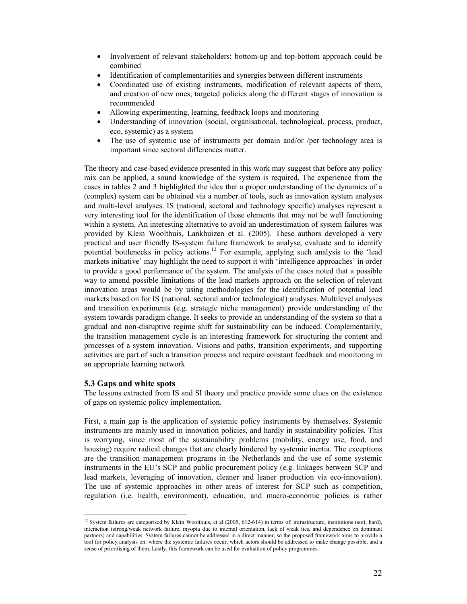- Involvement of relevant stakeholders; bottom-up and top-bottom approach could be combined
- Identification of complementarities and synergies between different instruments
- Coordinated use of existing instruments, modification of relevant aspects of them, and creation of new ones; targeted policies along the different stages of innovation is recommended
- Allowing experimenting, learning, feedback loops and monitoring
- Understanding of innovation (social, organisational, technological, process, product, eco, systemic) as a system
- The use of systemic use of instruments per domain and/or /per technology area is important since sectoral differences matter.

The theory and case-based evidence presented in this work may suggest that before any policy mix can be applied, a sound knowledge of the system is required. The experience from the cases in tables 2 and 3 highlighted the idea that a proper understanding of the dynamics of a (complex) system can be obtained via a number of tools, such as innovation system analyses and multi-level analyses. IS (national, sectoral and technology specific) analyses represent a very interesting tool for the identification of those elements that may not be well functioning within a system. An interesting alternative to avoid an underestimation of system failures was provided by Klein Woolthuis, Lankhuizen et al. (2005). These authors developed a very practical and user friendly IS-system failure framework to analyse, evaluate and to identify potential bottlenecks in policy actions.<sup>12</sup> For example, applying such analysis to the 'lead markets initiative' may highlight the need to support it with 'intelligence approaches' in order to provide a good performance of the system. The analysis of the cases noted that a possible way to amend possible limitations of the lead markets approach on the selection of relevant innovation areas would be by using methodologies for the identification of potential lead markets based on for IS (national, sectoral and/or technological) analyses. Multilevel analyses and transition experiments (e.g. strategic niche management) provide understanding of the system towards paradigm change. It seeks to provide an understanding of the system so that a gradual and non-disruptive regime shift for sustainability can be induced. Complementarily, the transition management cycle is an interesting framework for structuring the content and processes of a system innovation. Visions and paths, transition experiments, and supporting activities are part of such a transition process and require constant feedback and monitoring in an appropriate learning network

## **5.3 Gaps and white spots**

The lessons extracted from IS and SI theory and practice provide some clues on the existence of gaps on systemic policy implementation.

First, a main gap is the application of systemic policy instruments by themselves. Systemic instruments are mainly used in innovation policies, and hardly in sustainability policies. This is worrying, since most of the sustainability problems (mobility, energy use, food, and housing) require radical changes that are clearly hindered by systemic inertia. The exceptions are the transition management programs in the Netherlands and the use of some systemic instruments in the EU's SCP and public procurement policy (e.g. linkages between SCP and lead markets, leveraging of innovation, cleaner and leaner production via eco-innovation). The use of systemic approaches in other areas of interest for SCP such as competition, regulation (i.e. health, environment), education, and macro-economic policies is rather

 $\ddot{\phantom{a}}$ <sup>12</sup> System failures are categorised by Klein Woolthuis, et al  $(2005, 612-614)$  in terms of: infrastructure, institutions (soft, hard), interaction (strong/weak network failure, myopia due to internal orientation, lack of weak ties, and dependence on dominant partners) and capabilities. System failures cannot be addressed in a direct manner, so the proposed framework aims to provide a tool for policy analysis on: where the systemic failures occur, which actors should be addressed to make change possible, and a sense of prioritising of them. Lastly, this framework can be used for evaluation of policy programmes.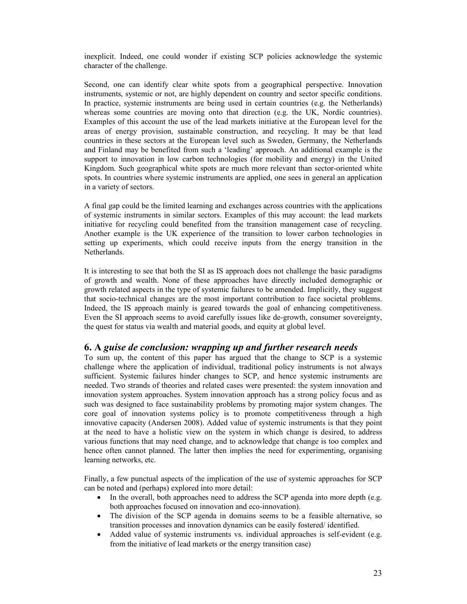inexplicit. Indeed, one could wonder if existing SCP policies acknowledge the systemic character of the challenge.

Second, one can identify clear white spots from a geographical perspective. Innovation instruments, systemic or not, are highly dependent on country and sector specific conditions. In practice, systemic instruments are being used in certain countries (e.g. the Netherlands) whereas some countries are moving onto that direction (e.g. the UK, Nordic countries). Examples of this account the use of the lead markets initiative at the European level for the areas of energy provision, sustainable construction, and recycling. It may be that lead countries in these sectors at the European level such as Sweden, Germany, the Netherlands and Finland may be benefited from such a 'leading' approach. An additional example is the support to innovation in low carbon technologies (for mobility and energy) in the United Kingdom. Such geographical white spots are much more relevant than sector-oriented white spots. In countries where systemic instruments are applied, one sees in general an application in a variety of sectors.

A final gap could be the limited learning and exchanges across countries with the applications of systemic instruments in similar sectors. Examples of this may account: the lead markets initiative for recycling could benefited from the transition management case of recycling. Another example is the UK experience of the transition to lower carbon technologies in setting up experiments, which could receive inputs from the energy transition in the Netherlands.

It is interesting to see that both the SI as IS approach does not challenge the basic paradigms of growth and wealth. None of these approaches have directly included demographic or growth related aspects in the type of systemic failures to be amended. Implicitly, they suggest that socio-technical changes are the most important contribution to face societal problems. Indeed, the IS approach mainly is geared towards the goal of enhancing competitiveness. Even the SI approach seems to avoid carefully issues like de-growth, consumer sovereignty, the quest for status via wealth and material goods, and equity at global level.

## **6. A** *guise de conclusion: wrapping up and further research needs*

To sum up, the content of this paper has argued that the change to SCP is a systemic challenge where the application of individual, traditional policy instruments is not always sufficient. Systemic failures hinder changes to SCP, and hence systemic instruments are needed. Two strands of theories and related cases were presented: the system innovation and innovation system approaches. System innovation approach has a strong policy focus and as such was designed to face sustainability problems by promoting major system changes. The core goal of innovation systems policy is to promote competitiveness through a high innovative capacity (Andersen 2008). Added value of systemic instruments is that they point at the need to have a holistic view on the system in which change is desired, to address various functions that may need change, and to acknowledge that change is too complex and hence often cannot planned. The latter then implies the need for experimenting, organising learning networks, etc.

Finally, a few punctual aspects of the implication of the use of systemic approaches for SCP can be noted and (perhaps) explored into more detail:

- In the overall, both approaches need to address the SCP agenda into more depth (e.g. both approaches focused on innovation and eco-innovation).
- The division of the SCP agenda in domains seems to be a feasible alternative, so transition processes and innovation dynamics can be easily fostered/ identified.
- Added value of systemic instruments vs. individual approaches is self-evident (e.g. from the initiative of lead markets or the energy transition case)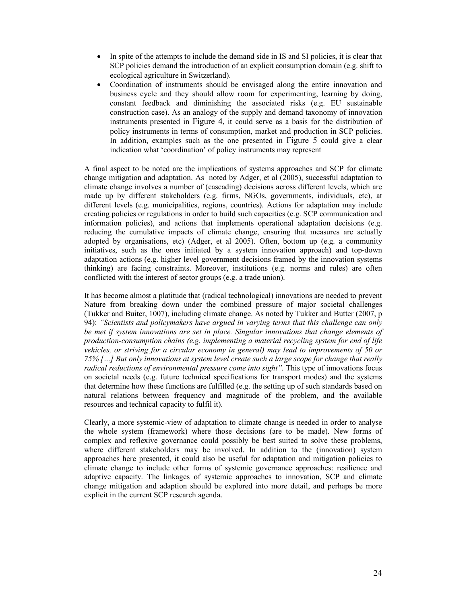- In spite of the attempts to include the demand side in IS and SI policies, it is clear that SCP policies demand the introduction of an explicit consumption domain (e.g. shift to ecological agriculture in Switzerland).
- Coordination of instruments should be envisaged along the entire innovation and business cycle and they should allow room for experimenting, learning by doing, constant feedback and diminishing the associated risks (e.g. EU sustainable construction case). As an analogy of the supply and demand taxonomy of innovation instruments presented in Figure 4, it could serve as a basis for the distribution of policy instruments in terms of consumption, market and production in SCP policies. In addition, examples such as the one presented in Figure 5 could give a clear indication what 'coordination' of policy instruments may represent

A final aspect to be noted are the implications of systems approaches and SCP for climate change mitigation and adaptation. As noted by Adger, et al (2005), successful adaptation to climate change involves a number of (cascading) decisions across different levels, which are made up by different stakeholders (e.g. firms, NGOs, governments, individuals, etc), at different levels (e.g. municipalities, regions, countries). Actions for adaptation may include creating policies or regulations in order to build such capacities (e.g. SCP communication and information policies), and actions that implements operational adaptation decisions (e.g. reducing the cumulative impacts of climate change, ensuring that measures are actually adopted by organisations, etc) (Adger, et al 2005). Often, bottom up (e.g. a community initiatives, such as the ones initiated by a system innovation approach) and top-down adaptation actions (e.g. higher level government decisions framed by the innovation systems thinking) are facing constraints. Moreover, institutions (e.g. norms and rules) are often conflicted with the interest of sector groups (e.g. a trade union).

It has become almost a platitude that (radical technological) innovations are needed to prevent Nature from breaking down under the combined pressure of major societal challenges (Tukker and Buiter, 1007), including climate change. As noted by Tukker and Butter (2007, p 94): *"Scientists and policymakers have argued in varying terms that this challenge can only be met if system innovations are set in place. Singular innovations that change elements of production-consumption chains (e.g. implementing a material recycling system for end of life vehicles, or striving for a circular economy in general) may lead to improvements of 50 or 75% […] But only innovations at system level create such a large scope for change that really radical reductions of environmental pressure come into sight".* This type of innovations focus on societal needs (e.g. future technical specifications for transport modes) and the systems that determine how these functions are fulfilled (e.g. the setting up of such standards based on natural relations between frequency and magnitude of the problem, and the available resources and technical capacity to fulfil it).

Clearly, a more systemic-view of adaptation to climate change is needed in order to analyse the whole system (framework) where those decisions (are to be made). New forms of complex and reflexive governance could possibly be best suited to solve these problems, where different stakeholders may be involved. In addition to the (innovation) system approaches here presented, it could also be useful for adaptation and mitigation policies to climate change to include other forms of systemic governance approaches: resilience and adaptive capacity. The linkages of systemic approaches to innovation, SCP and climate change mitigation and adaption should be explored into more detail, and perhaps be more explicit in the current SCP research agenda.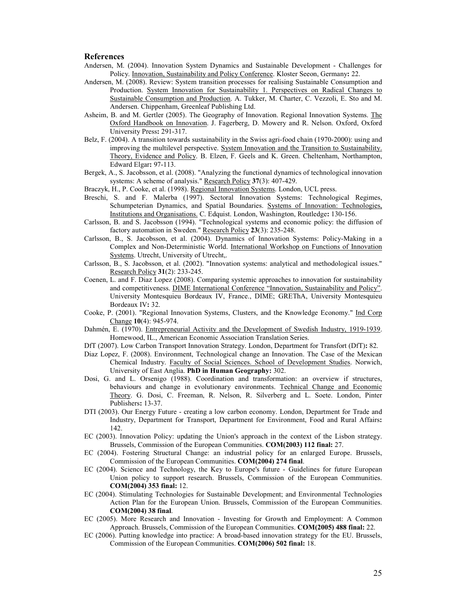#### **References**

- Andersen, M. (2004). Innovation System Dynamics and Sustainable Development Challenges for Policy. Innovation, Sustainability and Policy Conference. Kloster Seeon, Germany**:** 22.
- Andersen, M. (2008). Review: System transition processes for realising Sustainable Consumption and Production. System Innovation for Sustainability 1. Perspectives on Radical Changes to Sustainable Consumption and Production. A. Tukker, M. Charter, C. Vezzoli, E. Sto and M. Andersen. Chippenham, Greenleaf Publishing Ltd.
- Asheim, B. and M. Gertler (2005). The Geography of Innovation. Regional Innovation Systems. The Oxford Handbook on Innovation. J. Fagerberg, D. Mowery and R. Nelson. Oxford, Oxford University Press**:** 291-317.
- Belz, F. (2004). A transition towards sustainability in the Swiss agri-food chain (1970-2000): using and improving the multilevel perspective. System Innovation and the Transition to Sustainability. Theory, Evidence and Policy. B. Elzen, F. Geels and K. Green. Cheltenham, Northampton, Edward Elgar**:** 97-113.
- Bergek, A., S. Jacobsson, et al. (2008). "Analyzing the functional dynamics of technological innovation systems: A scheme of analysis." Research Policy **37**(3): 407-429.
- Braczyk, H., P. Cooke, et al. (1998). Regional Innovation Systems. London, UCL press.
- Breschi, S. and F. Malerba (1997). Sectoral Innovation Systems: Technological Regimes, Schumpeterian Dynamics, and Spatial Boundaries. Systems of Innovation: Technologies, Institutions and Organisations. C. Edquist. London, Washington, Routledge**:** 130-156.
- Carlsson, B. and S. Jacobsson (1994). "Technological systems and economic policy: the diffusion of factory automation in Sweden." Research Policy **23**(3): 235-248.
- Carlsson, B., S. Jacobsson, et al. (2004). Dynamics of Innovation Systems: Policy-Making in a Complex and Non-Deterministic World. International Workshop on Functions of Innovation Systems. Utrecht, University of Utrecht,.
- Carlsson, B., S. Jacobsson, et al. (2002). "Innovation systems: analytical and methodological issues." Research Policy **31**(2): 233-245.
- Coenen, L. and F. Diaz Lopez (2008). Comparing systemic approaches to innovation for sustainability and competitiveness. DIME International Conference "Innovation, Sustainability and Policy". University Montesquieu Bordeaux IV, France., DIME; GREThA, University Montesquieu Bordeaux IV**:** 32.
- Cooke, P. (2001). "Regional Innovation Systems, Clusters, and the Knowledge Economy." Ind Corp Change **10**(4): 945-974.
- Dahmén, E. (1970). Entrepreneurial Activity and the Development of Swedish Industry, 1919-1939. Homewood, IL., American Economic Association Translation Series.
- DfT (2007). Low Carbon Transport Innovation Strategy. London, Department for Transfort (DfT)**:** 82.
- Diaz Lopez, F. (2008). Environment, Technological change an Innovation. The Case of the Mexican Chemical Industry. Faculty of Social Sciences. School of Development Studies. Norwich, University of East Anglia. **PhD in Human Geography:** 302.
- Dosi, G. and L. Orsenigo (1988). Coordination and transformation: an overview if structures, behaviours and change in evolutionary environments. Technical Change and Economic Theory. G. Dosi, C. Freeman, R. Nelson, R. Silverberg and L. Soete. London, Pinter Publishers**:** 13-37.
- DTI (2003). Our Energy Future creating a low carbon economy. London, Department for Trade and Industry, Department for Transport, Department for Environment, Food and Rural Affairs**:**  142.
- EC (2003). Innovation Policy: updating the Union's approach in the context of the Lisbon strategy. Brussels, Commission of the European Communities. **COM(2003) 112 final:** 27.
- EC (2004). Fostering Structural Change: an industrial policy for an enlarged Europe. Brussels, Commission of the European Communities. **COM(2004) 274 final**.
- EC (2004). Science and Technology, the Key to Europe's future Guidelines for future European Union policy to support research. Brussels, Commission of the European Communities. **COM(2004) 353 final:** 12.
- EC (2004). Stimulating Technologies for Sustainable Development; and Environmental Technologies Action Plan for the European Union. Brussels, Commission of the European Communities. **COM(2004) 38 final**.
- EC (2005). More Research and Innovation Investing for Growth and Employment: A Common Approach. Brussels, Commission of the European Communities. **COM(2005) 488 final:** 22.
- EC (2006). Putting knowledge into practice: A broad-based innovation strategy for the EU. Brussels, Commission of the European Communities. **COM(2006) 502 final:** 18.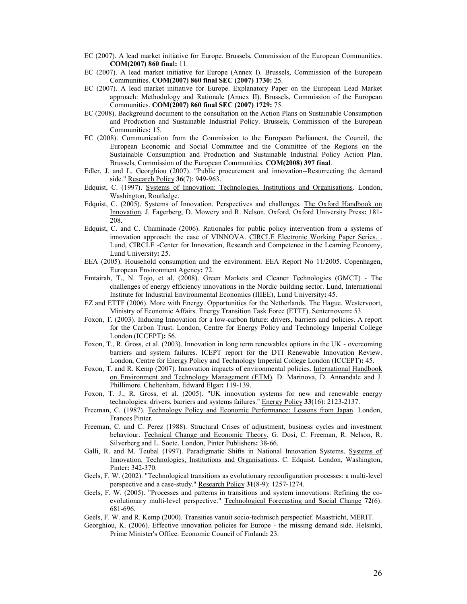- EC (2007). A lead market initiative for Europe. Brussels, Commission of the European Communities. **COM(2007) 860 final:** 11.
- EC (2007). A lead market initiative for Europe (Annex I). Brussels, Commission of the European Communities. **COM(2007) 860 final SEC (2007) 1730:** 25.
- EC (2007). A lead market initiative for Europe. Explanatory Paper on the European Lead Market approach: Methodology and Rationale (Annex II). Brussels, Commission of the European Communities. **COM(2007) 860 final SEC (2007) 1729:** 75.
- EC (2008). Background document to the consultation on the Action Plans on Sustainable Consumption and Production and Sustainable Industrial Policy. Brussels, Commission of the European Communities**:** 15.
- EC (2008). Communication from the Commission to the European Parliament, the Council, the European Economic and Social Committee and the Committee of the Regions on the Sustainable Consumption and Production and Sustainable Industrial Policy Action Plan. Brussels, Commission of the European Communities. **COM(2008) 397 final**.
- Edler, J. and L. Georghiou (2007). "Public procurement and innovation--Resurrecting the demand side." Research Policy **36**(7): 949-963.
- Edquist, C. (1997). Systems of Innovation: Technologies, Institutions and Organisations. London, Washington, Routledge.
- Edquist, C. (2005). Systems of Innovation. Perspectives and challenges. The Oxford Handbook on Innovation. J. Fagerberg, D. Mowery and R. Nelson. Oxford, Oxford University Press**:** 181- 208.
- Edquist, C. and C. Chaminade (2006). Rationales for public policy intervention from a systems of innovation approach: the case of VINNOVA. CIRCLE Electronic Working Paper Series. . Lund, CIRCLE -Center for Innovation, Research and Competence in the Learning Economy, Lund University**:** 25.
- EEA (2005). Household consumption and the environment. EEA Report No 11/2005. Copenhagen, European Environment Agency**:** 72.
- Emtairah, T., N. Tojo, et al. (2008). Green Markets and Cleaner Technologies (GMCT) The challenges of energy efficiency innovations in the Nordic building sector. Lund, International Institute for Industrial Environmental Economics (IIIEE), Lund University**:** 45.
- EZ and ETTF (2006). More with Energy. Opportunities for the Netherlands. The Hague. Westervoort, Ministry of Economic Affairs. Energy Transition Task Force (ETTF). Senternovem**:** 53.
- Foxon, T. (2003). Inducing Innovation for a low-carbon future: drivers, barriers and policies. A report for the Carbon Trust. London, Centre for Energy Policy and Technology Imperial College London (ICCEPT)**:** 56.
- Foxon, T., R. Gross, et al. (2003). Innovation in long term renewables options in the UK overcoming barriers and system failures. ICEPT report for the DTI Renewable Innovation Review. London, Centre for Energy Policy and Technology Imperial College London (ICCEPT)**:** 45.
- Foxon, T. and R. Kemp (2007). Innovation impacts of environmental policies. International Handbook on Environment and Technology Management (ETM). D. Marinova, D. Annandale and J. Phillimore. Cheltenham, Edward Elgar**:** 119-139.
- Foxon, T. J., R. Gross, et al. (2005). "UK innovation systems for new and renewable energy technologies: drivers, barriers and systems failures." Energy Policy **33**(16): 2123-2137.
- Freeman, C. (1987). Technology Policy and Economic Performance: Lessons from Japan. London, Frances Pinter.
- Freeman, C. and C. Perez (1988). Structural Crises of adjustment, business cycles and investment behaviour. Technical Change and Economic Theory. G. Dosi, C. Freeman, R. Nelson, R. Silverberg and L. Soete. London, Pinter Publishers**:** 38-66.
- Galli, R. and M. Teubal (1997). Paradigmatic Shifts in National Innovation Systems. Systems of Innovation. Technologies, Institutions and Organisations. C. Edquist. London, Washington, Pinter**:** 342-370.
- Geels, F. W. (2002). "Technological transitions as evolutionary reconfiguration processes: a multi-level perspective and a case-study." Research Policy **31**(8-9): 1257-1274.
- Geels, F. W. (2005). "Processes and patterns in transitions and system innovations: Refining the coevolutionary multi-level perspective." Technological Forecasting and Social Change **72**(6): 681-696.
- Geels, F. W. and R. Kemp (2000). Transities vanuit socio-technisch perspectief. Maastricht, MERIT.
- Georghiou, K. (2006). Effective innovation policies for Europe the missing demand side. Helsinki, Prime Minister's Office. Economic Council of Finland**:** 23.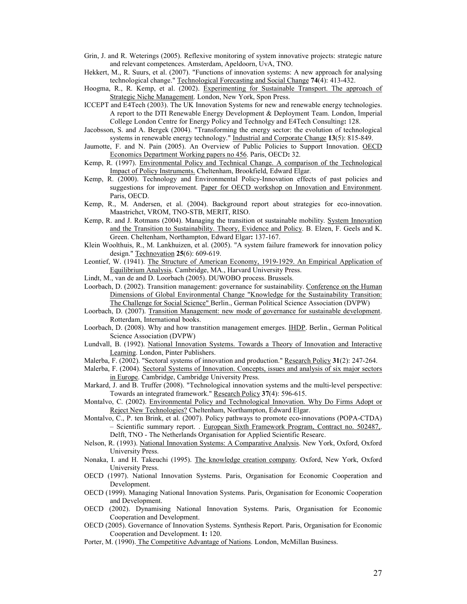- Grin, J. and R. Weterings (2005). Reflexive monitoring of system innovative projects: strategic nature and relevant competences. Amsterdam, Apeldoorn, UvA, TNO.
- Hekkert, M., R. Suurs, et al. (2007). "Functions of innovation systems: A new approach for analysing technological change." Technological Forecasting and Social Change **74**(4): 413-432.
- Hoogma, R., R. Kemp, et al. (2002). Experimenting for Sustainable Transport. The approach of Strategic Niche Management. London, New York, Spon Press.
- ICCEPT and E4Tech (2003). The UK Innovation Systems for new and renewable energy technologies. A report to the DTI Renewable Energy Development & Deployment Team. London, Imperial College London Centre for Energy Policy and Technolgy and E4Tech Consulting**:** 128.
- Jacobsson, S. and A. Bergek (2004). "Transforming the energy sector: the evolution of technological systems in renewable energy technology." Industrial and Corporate Change **13**(5): 815-849.
- Jaumotte, F. and N. Pain (2005). An Overview of Public Policies to Support Innovation. OECD Economics Department Working papers no 456. Paris, OECD**:** 32.
- Kemp, R. (1997). Environmental Policy and Technical Change. A comparison of the Technological Impact of Policy Instruments. Cheltenham, Brookfield, Edward Elgar.
- Kemp, R. (2000). Technology and Environmental Policy-Innovation effects of past policies and suggestions for improvement. Paper for OECD workshop on Innovation and Environment. Paris, OECD.
- Kemp, R., M. Andersen, et al. (2004). Background report about strategies for eco-innovation. Maastrichct, VROM, TNO-STB, MERIT, RISO.
- Kemp, R. and J. Rotmans (2004). Managing the transition ot sustainable mobility. System Innovation and the Transition to Sustainability. Theory, Evidence and Policy. B. Elzen, F. Geels and K. Green. Cheltenham, Northampton, Edward Elgar**:** 137-167.
- Klein Woolthuis, R., M. Lankhuizen, et al. (2005). "A system failure framework for innovation policy design." Technovation **25**(6): 609-619.
- Leontief, W. (1941). The Structure of American Economy, 1919-1929. An Empirical Application of Equilibrium Analysis. Cambridge, MA., Harvard University Press.
- Lindt, M., van de and D. Loorbach (2005). DUWOBO process. Brussels.
- Loorbach, D. (2002). Transition management: governance for sustainability. Conference on the Human Dimensions of Global Environmental Change "Knowledge for the Sustainability Transition: The Challenge for Social Science" Berlin., German Political Science Association (DVPW)
- Loorbach, D. (2007). Transition Management: new mode of governance for sustainable development. Rotterdam, International books.
- Loorbach, D. (2008). Why and how transtition management emerges. **IHDP**. Berlin., German Political Science Association (DVPW)
- Lundvall, B. (1992). National Innovation Systems. Towards a Theory of Innovation and Interactive Learning. London, Pinter Publishers.
- Malerba, F. (2002). "Sectoral systems of innovation and production." Research Policy **31**(2): 247-264.
- Malerba, F. (2004). Sectoral Systems of Innovation. Concepts, issues and analysis of six major sectors in Europe. Cambridge, Cambridge University Press.
- Markard, J. and B. Truffer (2008). "Technological innovation systems and the multi-level perspective: Towards an integrated framework." Research Policy **37**(4): 596-615.
- Montalvo, C. (2002). Environmental Policy and Technological Innovation. Why Do Firms Adopt or Reject New Technologies? Cheltenham, Northampton, Edward Elgar.
- Montalvo, C., P. ten Brink, et al. (2007). Policy pathways to promote eco-innovations (POPA-CTDA) – Scientific summary report. . European Sixth Framework Program, Contract no. 502487,. Delft, TNO - The Netherlands Organisation for Applied Scientific Researc.
- Nelson, R. (1993). National Innovation Systems: A Comparative Analysis. New York, Oxford, Oxford University Press.
- Nonaka, I. and H. Takeuchi (1995). The knowledge creation company. Oxford, New York, Oxford University Press.
- OECD (1997). National Innovation Systems. Paris, Organisation for Economic Cooperation and Development.
- OECD (1999). Managing National Innovation Systems. Paris, Organisation for Economic Cooperation and Development.
- OECD (2002). Dynamising National Innovation Systems. Paris, Organisation for Economic Cooperation and Development.
- OECD (2005). Governance of Innovation Systems. Synthesis Report. Paris, Organisation for Economic Cooperation and Development. **1:** 120.
- Porter, M. (1990). The Competitive Advantage of Nations. London, McMillan Business.